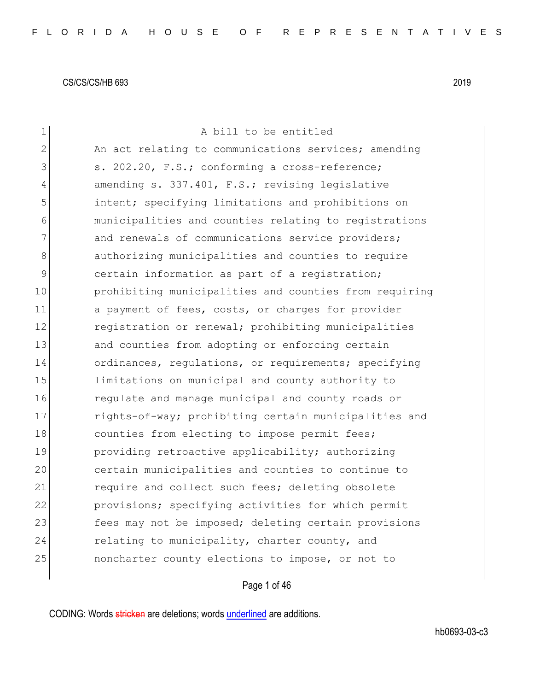| $\mathbf 1$ | A bill to be entitled                                  |
|-------------|--------------------------------------------------------|
| 2           | An act relating to communications services; amending   |
| 3           | s. 202.20, F.S.; conforming a cross-reference;         |
| 4           | amending s. 337.401, F.S.; revising legislative        |
| 5           | intent; specifying limitations and prohibitions on     |
| 6           | municipalities and counties relating to registrations  |
| 7           | and renewals of communications service providers;      |
| 8           | authorizing municipalities and counties to require     |
| 9           | certain information as part of a registration;         |
| 10          | prohibiting municipalities and counties from requiring |
| 11          | a payment of fees, costs, or charges for provider      |
| 12          | registration or renewal; prohibiting municipalities    |
| 13          | and counties from adopting or enforcing certain        |
| 14          | ordinances, regulations, or requirements; specifying   |
| 15          | limitations on municipal and county authority to       |
| 16          | regulate and manage municipal and county roads or      |
| 17          | rights-of-way; prohibiting certain municipalities and  |
| 18          | counties from electing to impose permit fees;          |
| 19          | providing retroactive applicability; authorizing       |
| 20          | certain municipalities and counties to continue to     |
| 21          | require and collect such fees; deleting obsolete       |
| 22          | provisions; specifying activities for which permit     |
| 23          | fees may not be imposed; deleting certain provisions   |
| 24          | relating to municipality, charter county, and          |
| 25          | noncharter county elections to impose, or not to       |
|             |                                                        |

# Page 1 of 46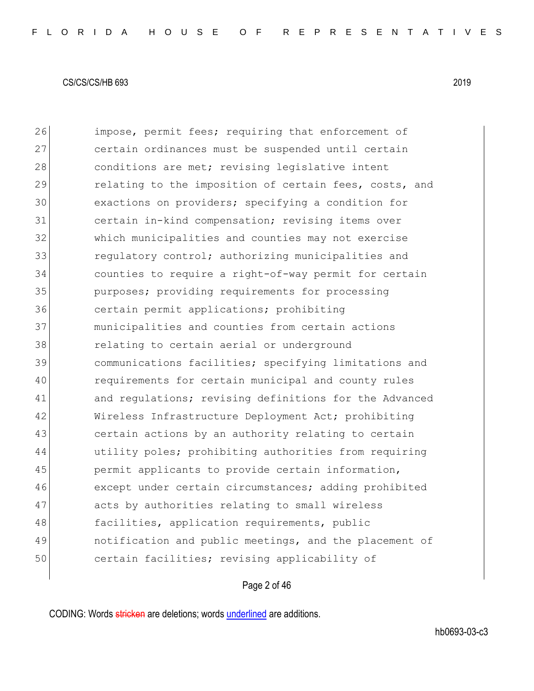26 impose, permit fees; requiring that enforcement of certain ordinances must be suspended until certain 28 conditions are met; revising legislative intent 29 relating to the imposition of certain fees, costs, and exactions on providers; specifying a condition for certain in-kind compensation; revising items over which municipalities and counties may not exercise **1988** regulatory control; authorizing municipalities and counties to require a right-of-way permit for certain purposes; providing requirements for processing certain permit applications; prohibiting municipalities and counties from certain actions **relating to certain aerial or underground**  communications facilities; specifying limitations and requirements for certain municipal and county rules 41 and regulations; revising definitions for the Advanced 42 Wireless Infrastructure Deployment Act; prohibiting certain actions by an authority relating to certain utility poles; prohibiting authorities from requiring permit applicants to provide certain information, 46 except under certain circumstances; adding prohibited 47 acts by authorities relating to small wireless 48 facilities, application requirements, public notification and public meetings, and the placement of certain facilities; revising applicability of

Page 2 of 46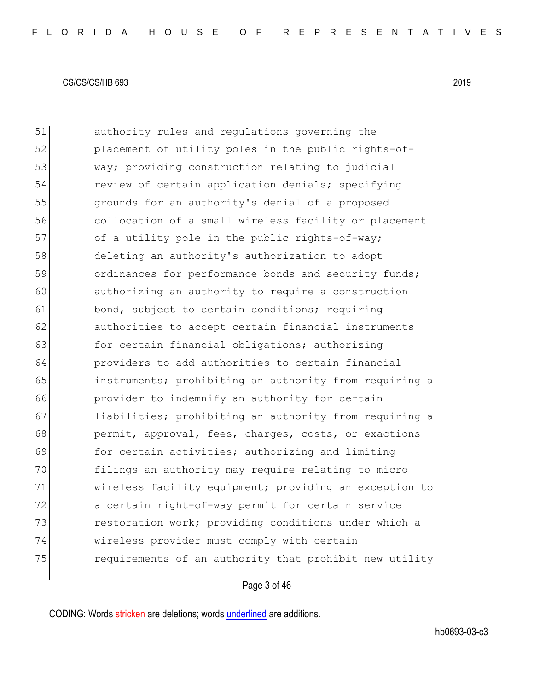51 authority rules and regulations governing the 52 placement of utility poles in the public rights-of-53 way; providing construction relating to judicial 54 review of certain application denials; specifying 55 grounds for an authority's denial of a proposed 56 collocation of a small wireless facility or placement 57 of a utility pole in the public rights-of-way; 58 deleting an authority's authorization to adopt 59 **b** ordinances for performance bonds and security funds; 60 authorizing an authority to require a construction 61 bond, subject to certain conditions; requiring 62 authorities to accept certain financial instruments 63 for certain financial obligations; authorizing 64 providers to add authorities to certain financial 65 instruments; prohibiting an authority from requiring a 66 provider to indemnify an authority for certain 67 liabilities; prohibiting an authority from requiring a 68 permit, approval, fees, charges, costs, or exactions 69 for certain activities; authorizing and limiting 70 filings an authority may require relating to micro 71 wireless facility equipment; providing an exception to 72 a certain right-of-way permit for certain service 73 restoration work; providing conditions under which a 74 wireless provider must comply with certain 75 requirements of an authority that prohibit new utility

# Page 3 of 46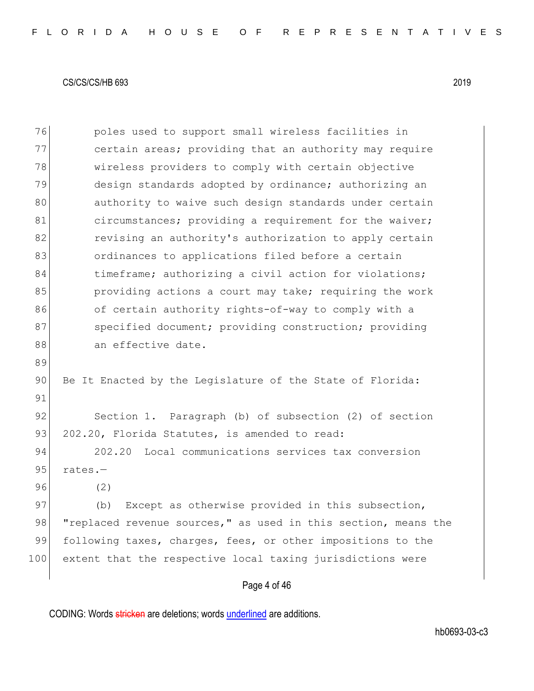76 poles used to support small wireless facilities in 77 certain areas; providing that an authority may require 78 wireless providers to comply with certain objective 79 design standards adopted by ordinance; authorizing an 80 authority to waive such design standards under certain 81 circumstances; providing a requirement for the waiver; 82 revising an authority's authorization to apply certain 83 **b** ordinances to applications filed before a certain 84 timeframe; authorizing a civil action for violations; 85 beta providing actions a court may take; requiring the work 86 of certain authority rights-of-way to comply with a 87 specified document; providing construction; providing 88 an effective date. 89 90 Be It Enacted by the Legislature of the State of Florida: 91 92 Section 1. Paragraph (b) of subsection (2) of section 93 202.20, Florida Statutes, is amended to read: 94 202.20 Local communications services tax conversion 95 rates.-96 (2) 97 (b) Except as otherwise provided in this subsection, 98 "replaced revenue sources," as used in this section, means the 99 following taxes, charges, fees, or other impositions to the 100 extent that the respective local taxing jurisdictions were

Page 4 of 46

CODING: Words stricken are deletions; words underlined are additions.

hb0693-03-c3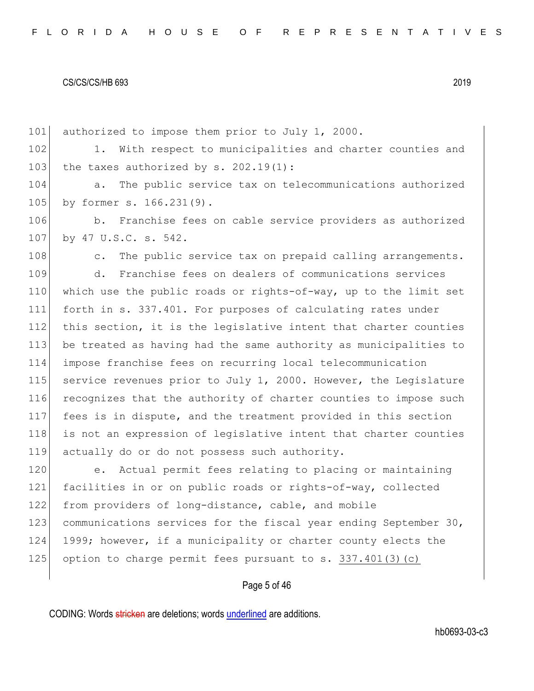101 authorized to impose them prior to July 1, 2000. 102 1. With respect to municipalities and charter counties and 103 the taxes authorized by s.  $202.19(1)$ : 104 a. The public service tax on telecommunications authorized 105 by former s. 166.231(9). 106 b. Franchise fees on cable service providers as authorized 107 by 47 U.S.C. s. 542. 108 c. The public service tax on prepaid calling arrangements. 109 d. Franchise fees on dealers of communications services 110 which use the public roads or rights-of-way, up to the limit set 111 forth in s. 337.401. For purposes of calculating rates under 112 this section, it is the legislative intent that charter counties 113 be treated as having had the same authority as municipalities to 114 impose franchise fees on recurring local telecommunication 115 service revenues prior to July 1, 2000. However, the Legislature 116 recognizes that the authority of charter counties to impose such 117 fees is in dispute, and the treatment provided in this section 118 is not an expression of legislative intent that charter counties 119 actually do or do not possess such authority. 120 e. Actual permit fees relating to placing or maintaining 121 facilities in or on public roads or rights-of-way, collected 122 from providers of long-distance, cable, and mobile 123 communications services for the fiscal year ending September 30, 124 1999; however, if a municipality or charter county elects the 125 option to charge permit fees pursuant to s.  $337.401(3)(c)$ 

# Page 5 of 46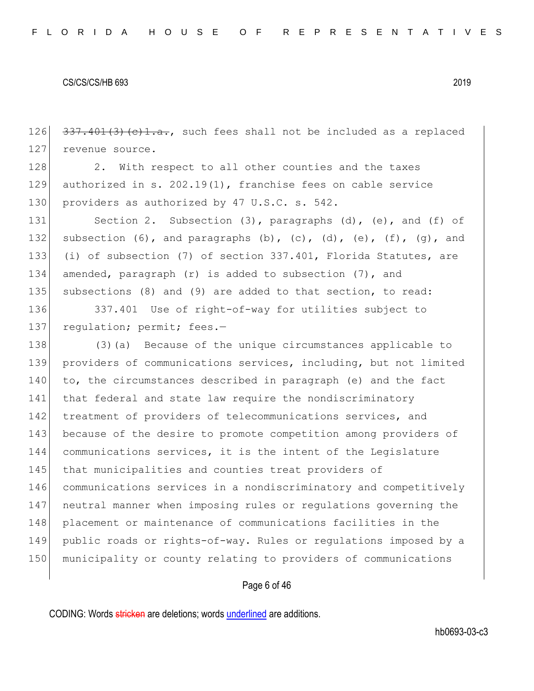126  $\left[337,401(3)(e)1.a.,\right]$  such fees shall not be included as a replaced 127 revenue source.

128 2. With respect to all other counties and the taxes 129 authorized in s. 202.19(1), franchise fees on cable service 130 providers as authorized by 47 U.S.C. s. 542.

131 Section 2. Subsection (3), paragraphs (d), (e), and (f) of 132 subsection  $(6)$ , and paragraphs  $(b)$ ,  $(c)$ ,  $(d)$ ,  $(e)$ ,  $(f)$ ,  $(q)$ , and 133 (i) of subsection (7) of section 337.401, Florida Statutes, are 134 amended, paragraph (r) is added to subsection (7), and 135 subsections (8) and (9) are added to that section, to read:

136 337.401 Use of right-of-way for utilities subject to 137 requiation; permit; fees.-

138 (3) (a) Because of the unique circumstances applicable to 139 providers of communications services, including, but not limited 140 to, the circumstances described in paragraph (e) and the fact 141 that federal and state law require the nondiscriminatory 142 treatment of providers of telecommunications services, and 143 because of the desire to promote competition among providers of 144 communications services, it is the intent of the Legislature 145 that municipalities and counties treat providers of 146 communications services in a nondiscriminatory and competitively 147 neutral manner when imposing rules or regulations governing the 148 placement or maintenance of communications facilities in the 149 public roads or rights-of-way. Rules or regulations imposed by a 150 municipality or county relating to providers of communications

# Page 6 of 46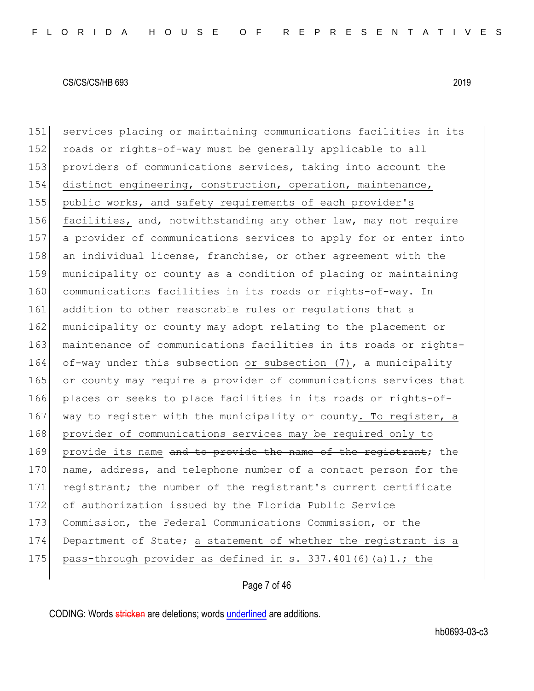151 services placing or maintaining communications facilities in its 152 roads or rights-of-way must be generally applicable to all 153 providers of communications services, taking into account the 154 distinct engineering, construction, operation, maintenance, 155 public works, and safety requirements of each provider's 156 facilities, and, notwithstanding any other law, may not require 157 a provider of communications services to apply for or enter into 158 an individual license, franchise, or other agreement with the 159 municipality or county as a condition of placing or maintaining 160 communications facilities in its roads or rights-of-way. In 161 addition to other reasonable rules or regulations that a 162 municipality or county may adopt relating to the placement or 163 maintenance of communications facilities in its roads or rights-164 of-way under this subsection or subsection (7), a municipality 165 or county may require a provider of communications services that 166 places or seeks to place facilities in its roads or rights-of-167 way to register with the municipality or county. To register, a 168 provider of communications services may be required only to 169 provide its name and to provide the name of the registrant; the 170 name, address, and telephone number of a contact person for the 171 registrant; the number of the registrant's current certificate 172 of authorization issued by the Florida Public Service 173 Commission, the Federal Communications Commission, or the 174 Department of State; a statement of whether the registrant is a 175 pass-through provider as defined in s. 337.401(6)(a)1.; the

Page 7 of 46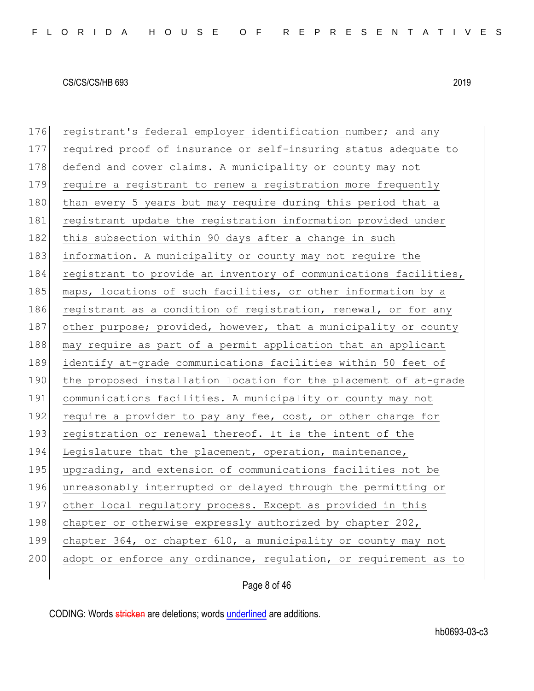| 176 | registrant's federal employer identification number; and any     |
|-----|------------------------------------------------------------------|
| 177 | required proof of insurance or self-insuring status adequate to  |
| 178 | defend and cover claims. A municipality or county may not        |
| 179 | require a registrant to renew a registration more frequently     |
| 180 | than every 5 years but may require during this period that a     |
| 181 | registrant update the registration information provided under    |
| 182 | this subsection within 90 days after a change in such            |
| 183 | information. A municipality or county may not require the        |
| 184 | registrant to provide an inventory of communications facilities, |
| 185 | maps, locations of such facilities, or other information by a    |
| 186 | registrant as a condition of registration, renewal, or for any   |
| 187 | other purpose; provided, however, that a municipality or county  |
| 188 | may require as part of a permit application that an applicant    |
| 189 | identify at-grade communications facilities within 50 feet of    |
| 190 | the proposed installation location for the placement of at-grade |
| 191 | communications facilities. A municipality or county may not      |
| 192 | require a provider to pay any fee, cost, or other charge for     |
| 193 | registration or renewal thereof. It is the intent of the         |
| 194 | Legislature that the placement, operation, maintenance,          |
| 195 | upgrading, and extension of communications facilities not be     |
| 196 | unreasonably interrupted or delayed through the permitting or    |
| 197 | other local regulatory process. Except as provided in this       |
| 198 | chapter or otherwise expressly authorized by chapter 202,        |
| 199 | chapter 364, or chapter 610, a municipality or county may not    |
| 200 | adopt or enforce any ordinance, regulation, or requirement as to |
|     |                                                                  |

Page 8 of 46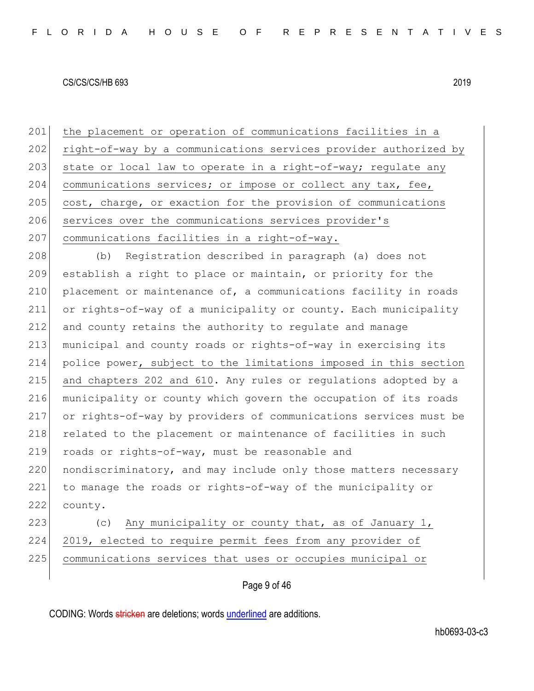201 the placement or operation of communications facilities in a 202 right-of-way by a communications services provider authorized by 203 state or local law to operate in a right-of-way; regulate any 204 communications services; or impose or collect any tax, fee, 205 cost, charge, or exaction for the provision of communications 206 services over the communications services provider's 207 communications facilities in a right-of-way. 208 (b) Registration described in paragraph (a) does not 209 establish a right to place or maintain, or priority for the 210 placement or maintenance of, a communications facility in roads 211 or rights-of-way of a municipality or county. Each municipality 212 and county retains the authority to regulate and manage 213 municipal and county roads or rights-of-way in exercising its 214 police power, subject to the limitations imposed in this section 215 and chapters 202 and 610. Any rules or regulations adopted by a 216 municipality or county which govern the occupation of its roads 217 or rights-of-way by providers of communications services must be 218 related to the placement or maintenance of facilities in such 219 roads or rights-of-way, must be reasonable and 220 nondiscriminatory, and may include only those matters necessary 221 to manage the roads or rights-of-way of the municipality or

222 county.

223 (c) Any municipality or county that, as of January 1, 224 2019, elected to require permit fees from any provider of 225 communications services that uses or occupies municipal or

Page 9 of 46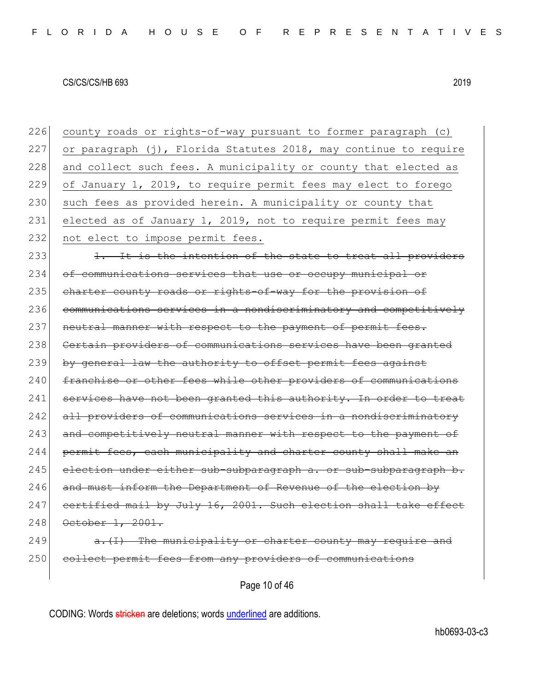226 county roads or rights-of-way pursuant to former paragraph (c) 227 or paragraph  $(j)$ , Florida Statutes 2018, may continue to require 228 and collect such fees. A municipality or county that elected as 229 of January 1, 2019, to require permit fees may elect to forego 230 such fees as provided herein. A municipality or county that 231 elected as of January 1, 2019, not to require permit fees may 232 not elect to impose permit fees. 233 1. It is the intention of the state to treat all providers 234 of communications services that use or occupy municipal or 235 charter county roads or rights-of-way for the provision of 236 communications services in a nondiscriminatory and competitively 237 neutral manner with respect to the payment of permit fees. 238 Certain providers of communications services have been granted 239 by general law the authority to offset permit fees against 240 franchise or other fees while other providers of communications 241 services have not been granted this authority. In order to treat 242 all providers of communications services in a nondiscriminatory 243 and competitively neutral manner with respect to the payment of 244 permit fees, each municipality and charter county shall make an  $245$  election under either sub-subparagraph a. or sub-subparagraph b. 246 and must inform the Department of Revenue of the election by 247 certified mail by July 16, 2001. Such election shall take effect 248 October 1, 2001.  $249$  a.  $\overline{1}$  The municipality or charter county may require and 250 collect permit fees from any providers of communications

Page 10 of 46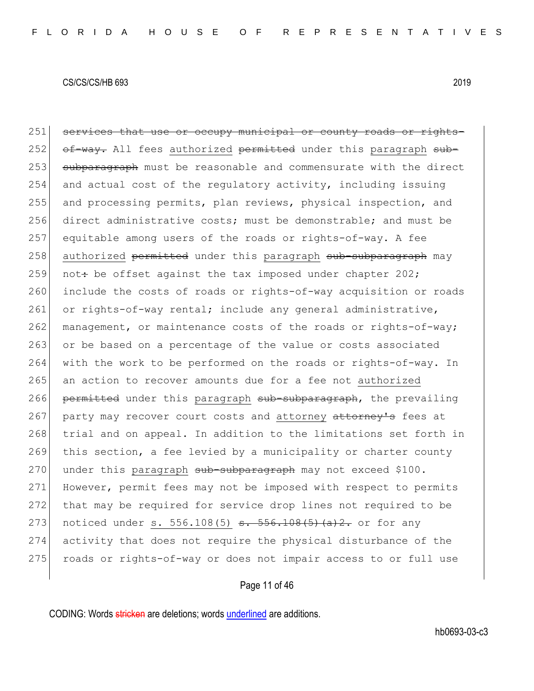251 services that use or occupy municipal or county roads or rights-252 of-way. All fees authorized permitted under this paragraph sub-253 subparagraph must be reasonable and commensurate with the direct 254 and actual cost of the regulatory activity, including issuing 255 and processing permits, plan reviews, physical inspection, and 256 direct administrative costs; must be demonstrable; and must be 257 equitable among users of the roads or rights-of-way. A fee 258 authorized permitted under this paragraph sub-subparagraph may 259 not: be offset against the tax imposed under chapter  $202$ ; 260 include the costs of roads or rights-of-way acquisition or roads 261 or rights-of-way rental; include any general administrative,  $262$  management, or maintenance costs of the roads or rights-of-way; 263 or be based on a percentage of the value or costs associated 264 with the work to be performed on the roads or rights-of-way. In 265 an action to recover amounts due for a fee not authorized 266 permitted under this paragraph sub-subparagraph, the prevailing 267 party may recover court costs and attorney attorney's fees at 268 trial and on appeal. In addition to the limitations set forth in 269 this section, a fee levied by a municipality or charter county 270 under this paragraph sub-subparagraph may not exceed \$100. 271 However, permit fees may not be imposed with respect to permits 272 that may be required for service drop lines not required to be 273 noticed under s. 556.108(5) s. 556.108(5)(a)2. or for any 274 activity that does not require the physical disturbance of the 275 roads or rights-of-way or does not impair access to or full use

# Page 11 of 46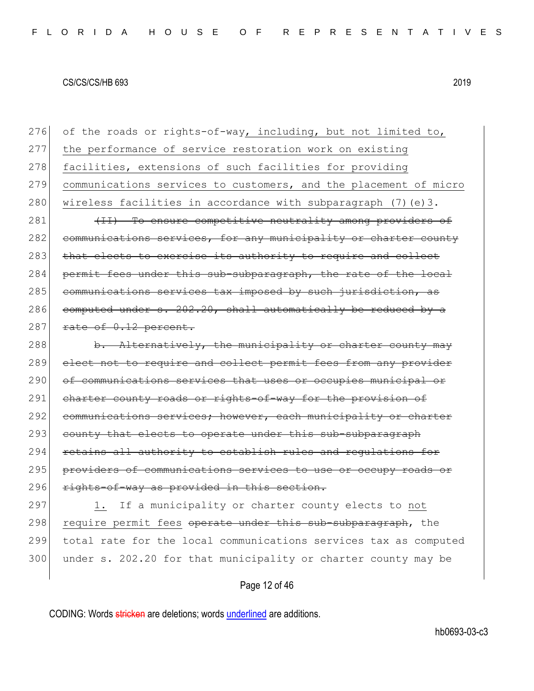276 of the roads or rights-of-way, including, but not limited to, 277 the performance of service restoration work on existing 278 facilities, extensions of such facilities for providing 279 communications services to customers, and the placement of micro 280 wireless facilities in accordance with subparagraph  $(7)$  (e)3.

281 (II) To ensure competitive neutrality among providers of 282 communications services, for any municipality or charter county 283 that elects to exercise its authority to require and collect 284 permit fees under this sub-subparagraph, the rate of the local 285 communications services tax imposed by such jurisdiction, as 286 computed under s.  $202.20$ , shall automatically be reduced by a  $287$  rate of  $0.12$  percent.

288 b. Alternatively, the municipality or charter county may 289 elect not to require and collect permit fees from any provider 290 of communications services that uses or occupies municipal or 291 charter county roads or rights-of-way for the provision of 292 communications services; however, each municipality or charter 293 county that elects to operate under this sub-subparagraph 294 retains all authority to establish rules and regulations for 295 providers of communications services to use or occupy roads or 296 rights-of-way as provided in this section.

297 1. If a municipality or charter county elects to not 298 require permit fees operate under this sub-subparagraph, the 299 total rate for the local communications services tax as computed 300 under s. 202.20 for that municipality or charter county may be

# Page 12 of 46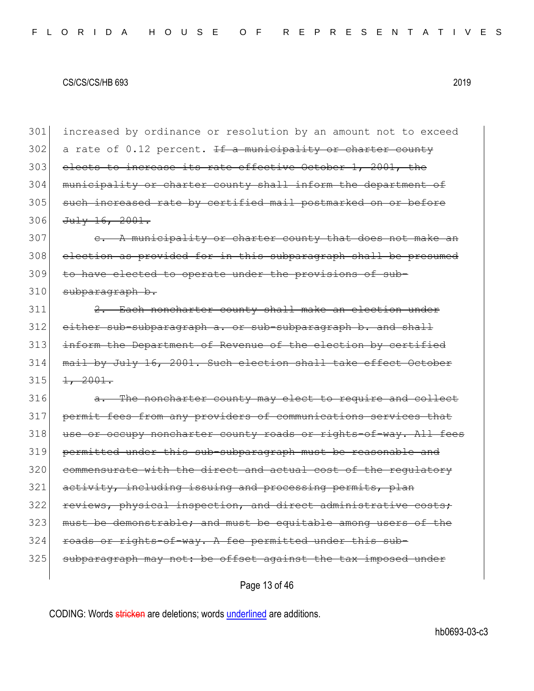301 increased by ordinance or resolution by an amount not to exceed 302 a rate of 0.12 percent. If a municipality or charter county 303 elects to increase its rate effective October 1, 2001, the 304 municipality or charter county shall inform the department of 305 such increased rate by certified mail postmarked on or before 306 July 16, 2001. 307 e. A municipality or charter county that does not make an 308 election as provided for in this subparagraph shall be presumed 309 to have elected to operate under the provisions of sub- $310$  subparagraph b. 311 2. Each noncharter county shall make an election under 312 either sub-subparagraph a. or sub-subparagraph b. and shall 313 inform the Department of Revenue of the election by certified 314 mail by July 16, 2001. Such election shall take effect October  $315$   $1, 2001.$ 316 a. The noncharter county may elect to require and collect 317 permit fees from any providers of communications services that 318 use or occupy noncharter county roads or rights-of-way. All fees 319 permitted under this sub-subparagraph must be reasonable and 320 commensurate with the direct and actual cost of the regulatory  $321$  activity, including issuing and processing permits, plan 322 reviews, physical inspection, and direct administrative costs; 323 must be demonstrable; and must be equitable among users of the  $324$  roads or rights-of-way. A fee permitted under this sub-325 subparagraph may not: be offset against the tax imposed under

Page 13 of 46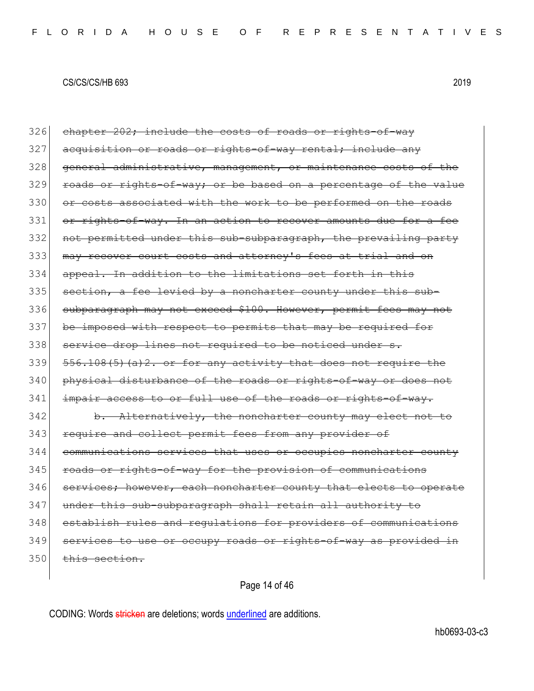$326$  chapter  $202$ ; include the costs of roads or rights-of-way 327 acquisition or roads or rights-of-way rental; include any 328 general administrative, management, or maintenance costs of the 329 roads or rights-of-way; or be based on a percentage of the value 330 or costs associated with the work to be performed on the roads 331 or rights-of-way. In an action to recover amounts due for a fee 332 not permitted under this sub-subparagraph, the prevailing party 333 | may recover court costs and attorney's fees at trial and on 334 appeal. In addition to the limitations set forth in this 335 section, a fee levied by a noncharter county under this sub-336 subparagraph may not exceed \$100. However, permit fees may not 337 be imposed with respect to permits that may be required for 338 service drop lines not required to be noticed under s.  $339$   $556.108(5)$  (a) 2. or for any activity that does not require the 340 physical disturbance of the roads or rights-of-way or does not 341 impair access to or full use of the roads or rights-of-way. 342 b. Alternatively, the noncharter county may elect not to 343 require and collect permit fees from any provider of 344 communications services that uses or occupies noncharter county 345 roads or rights-of-way for the provision of communications 346 services; however, each noncharter county that elects to operate 347 under this sub-subparagraph shall retain all authority to 348 establish rules and regulations for providers of communications 349 services to use or occupy roads or rights-of-way as provided in  $350$  this section.

Page 14 of 46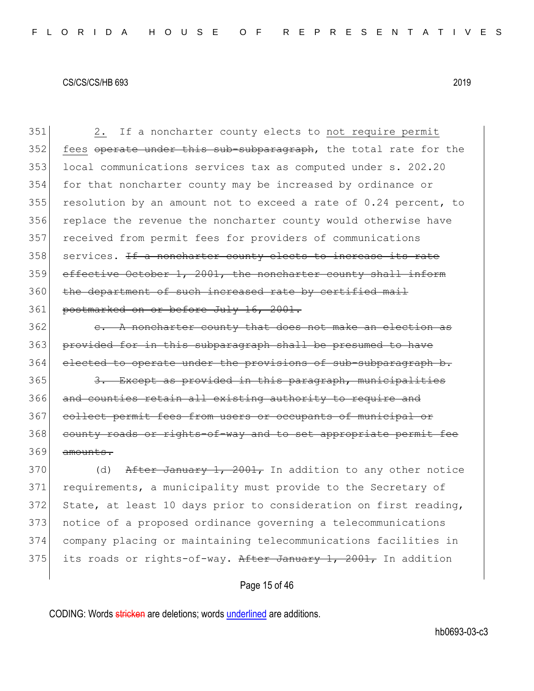351 2. If a noncharter county elects to not require permit 352 fees operate under this sub-subparagraph, the total rate for the 353 local communications services tax as computed under s. 202.20 354 for that noncharter county may be increased by ordinance or 355 resolution by an amount not to exceed a rate of  $0.24$  percent, to 356 replace the revenue the noncharter county would otherwise have 357 received from permit fees for providers of communications 358 services. <del>If a noncharter county elects to increase its rate</del> 359 effective October 1, 2001, the noncharter county shall inform 360 the department of such increased rate by certified mail 361 postmarked on or before July 16, 2001.

 $362$  e. A noncharter county that does not make an election as 363 provided for in this subparagraph shall be presumed to have 364 elected to operate under the provisions of sub-subparagraph b.

365 3. Except as provided in this paragraph, municipalities 366 and counties retain all existing authority to require and 367 collect permit fees from users or occupants of municipal or 368 county roads or rights-of-way and to set appropriate permit fee 369 amounts.

370 (d) After January 1, 2001, In addition to any other notice 371 requirements, a municipality must provide to the Secretary of 372 State, at least 10 days prior to consideration on first reading, 373 notice of a proposed ordinance governing a telecommunications 374 company placing or maintaining telecommunications facilities in 375 its roads or rights-of-way. After January 1, 2001, In addition

Page 15 of 46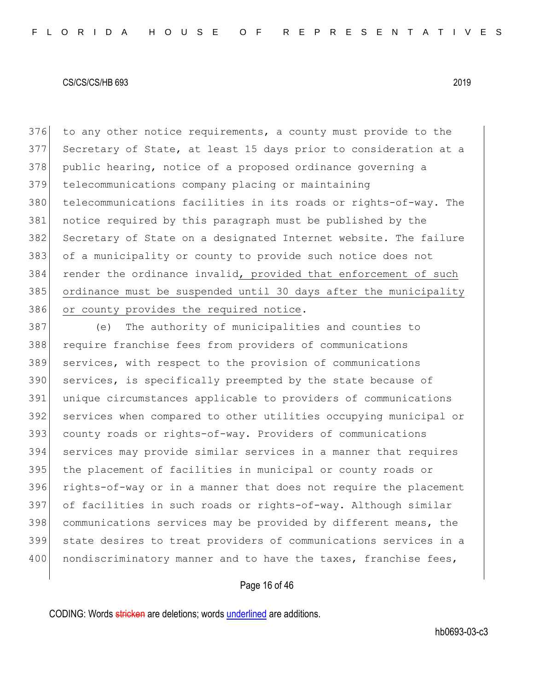376 to any other notice requirements, a county must provide to the Secretary of State, at least 15 days prior to consideration at a 378 public hearing, notice of a proposed ordinance governing a telecommunications company placing or maintaining telecommunications facilities in its roads or rights-of-way. The notice required by this paragraph must be published by the 382 Secretary of State on a designated Internet website. The failure of a municipality or county to provide such notice does not render the ordinance invalid, provided that enforcement of such ordinance must be suspended until 30 days after the municipality 386 or county provides the required notice.

387 (e) The authority of municipalities and counties to require franchise fees from providers of communications services, with respect to the provision of communications 390 services, is specifically preempted by the state because of unique circumstances applicable to providers of communications services when compared to other utilities occupying municipal or county roads or rights-of-way. Providers of communications services may provide similar services in a manner that requires the placement of facilities in municipal or county roads or rights-of-way or in a manner that does not require the placement of facilities in such roads or rights-of-way. Although similar communications services may be provided by different means, the state desires to treat providers of communications services in a 400 | nondiscriminatory manner and to have the taxes, franchise fees,

# Page 16 of 46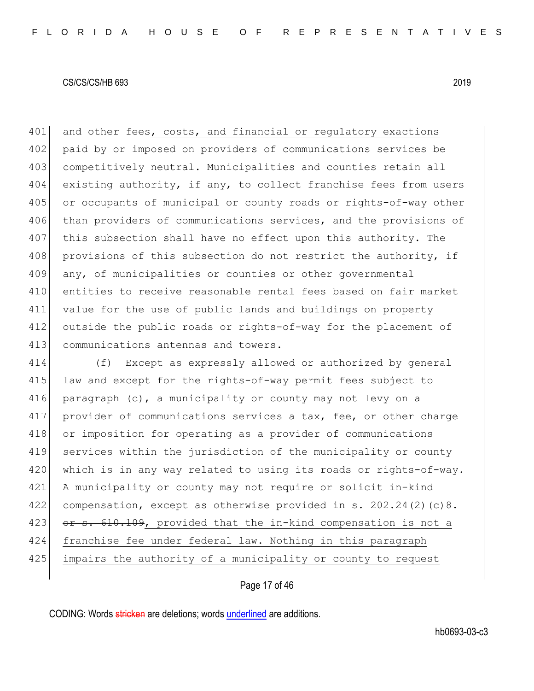401 and other fees, costs, and financial or regulatory exactions 402 paid by or imposed on providers of communications services be 403 competitively neutral. Municipalities and counties retain all 404 existing authority, if any, to collect franchise fees from users 405 or occupants of municipal or county roads or rights-of-way other 406 than providers of communications services, and the provisions of 407 this subsection shall have no effect upon this authority. The 408 provisions of this subsection do not restrict the authority, if 409 any, of municipalities or counties or other governmental 410 entities to receive reasonable rental fees based on fair market 411 value for the use of public lands and buildings on property 412 outside the public roads or rights-of-way for the placement of 413 communications antennas and towers.

414 (f) Except as expressly allowed or authorized by general 415 law and except for the rights-of-way permit fees subject to 416 paragraph (c), a municipality or county may not levy on a 417 provider of communications services a tax, fee, or other charge 418 or imposition for operating as a provider of communications 419 services within the jurisdiction of the municipality or county 420 which is in any way related to using its roads or rights-of-way. 421 A municipality or county may not require or solicit in-kind 422 compensation, except as otherwise provided in s. 202.24(2)(c)8. 423 or s. 610.109, provided that the in-kind compensation is not a 424 franchise fee under federal law. Nothing in this paragraph 425 impairs the authority of a municipality or county to request

# Page 17 of 46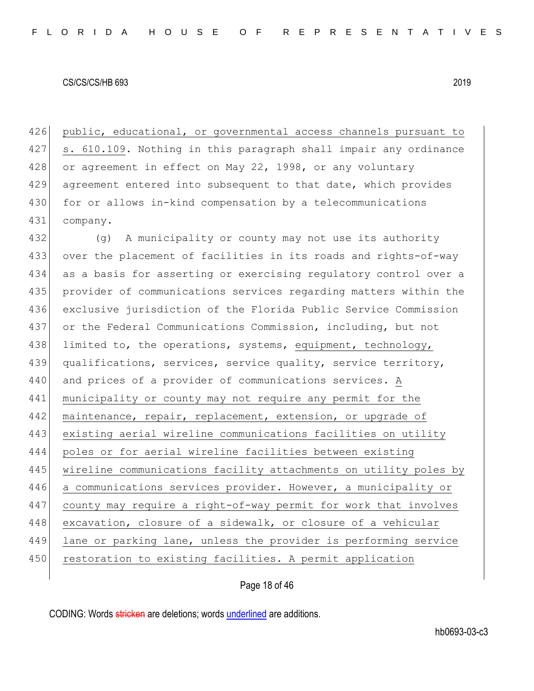426 public, educational, or governmental access channels pursuant to 427 s. 610.109. Nothing in this paragraph shall impair any ordinance 428 or agreement in effect on May 22, 1998, or any voluntary 429 agreement entered into subsequent to that date, which provides 430 for or allows in-kind compensation by a telecommunications 431 company.

432 (g) A municipality or county may not use its authority 433 over the placement of facilities in its roads and rights-of-way 434 as a basis for asserting or exercising regulatory control over a 435 provider of communications services regarding matters within the 436 exclusive jurisdiction of the Florida Public Service Commission 437 or the Federal Communications Commission, including, but not 438 limited to, the operations, systems, equipment, technology, 439 qualifications, services, service quality, service territory, 440 and prices of a provider of communications services. A 441 municipality or county may not require any permit for the 442 maintenance, repair, replacement, extension, or upgrade of 443 existing aerial wireline communications facilities on utility 444 poles or for aerial wireline facilities between existing 445 | wireline communications facility attachments on utility poles by 446 a communications services provider. However, a municipality or 447 county may require a right-of-way permit for work that involves 448 excavation, closure of a sidewalk, or closure of a vehicular 449 lane or parking lane, unless the provider is performing service 450 restoration to existing facilities. A permit application

Page 18 of 46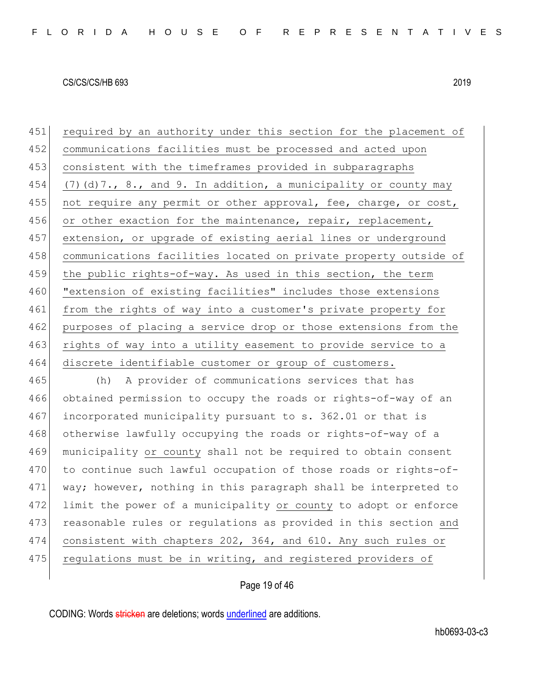451 required by an authority under this section for the placement of 452 communications facilities must be processed and acted upon 453 consistent with the timeframes provided in subparagraphs 454 (7)(d)7., 8., and 9. In addition, a municipality or county may 455 | not require any permit or other approval, fee, charge, or cost, 456 or other exaction for the maintenance, repair, replacement, 457 extension, or upgrade of existing aerial lines or underground 458 communications facilities located on private property outside of 459 the public rights-of-way. As used in this section, the term 460 "extension of existing facilities" includes those extensions 461 from the rights of way into a customer's private property for 462 purposes of placing a service drop or those extensions from the 463 rights of way into a utility easement to provide service to a 464 discrete identifiable customer or group of customers.

465 (h) A provider of communications services that has 466 obtained permission to occupy the roads or rights-of-way of an 467 incorporated municipality pursuant to s. 362.01 or that is 468 otherwise lawfully occupying the roads or rights-of-way of a 469 municipality or county shall not be required to obtain consent 470 to continue such lawful occupation of those roads or rights-of-471 way; however, nothing in this paragraph shall be interpreted to 472 limit the power of a municipality or county to adopt or enforce 473 reasonable rules or regulations as provided in this section and 474 consistent with chapters 202, 364, and 610. Any such rules or 475 regulations must be in writing, and registered providers of

# Page 19 of 46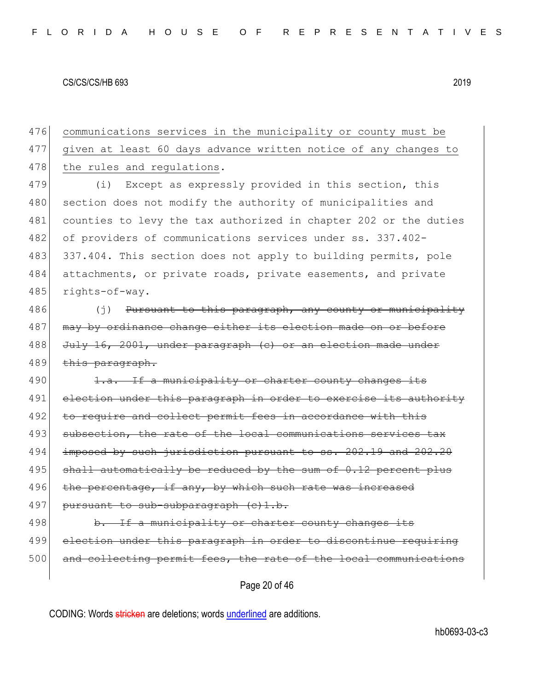476 communications services in the municipality or county must be 477 given at least 60 days advance written notice of any changes to 478 the rules and regulations.

479 (i) Except as expressly provided in this section, this 480 section does not modify the authority of municipalities and 481 counties to levy the tax authorized in chapter 202 or the duties 482 of providers of communications services under ss. 337.402-483 337.404. This section does not apply to building permits, pole 484 attachments, or private roads, private easements, and private 485 rights-of-way.

486 (j) Pursuant to this paragraph, any county or municipality 487 may by ordinance change either its election made on or before 488 July 16, 2001, under paragraph (c) or an election made under 489 this paragraph.

490 1.a. If a municipality or charter county changes its 491 election under this paragraph in order to exercise its authority 492 to require and collect permit fees in accordance with 493 subsection, the rate of the local communications services tax 494 imposed by such jurisdiction pursuant to ss. 202.19 and 202.20  $495$  shall automatically be reduced by the sum of 0.12 percent plus 496 the percentage, if any, by which such rate was increased 497 pursuant to sub-subparagraph (c)1.b. 498 b. If a municipality or charter county changes its

499 election under this paragraph in order to discontinue requiring 500 and collecting permit fees, the rate of the local communications

Page 20 of 46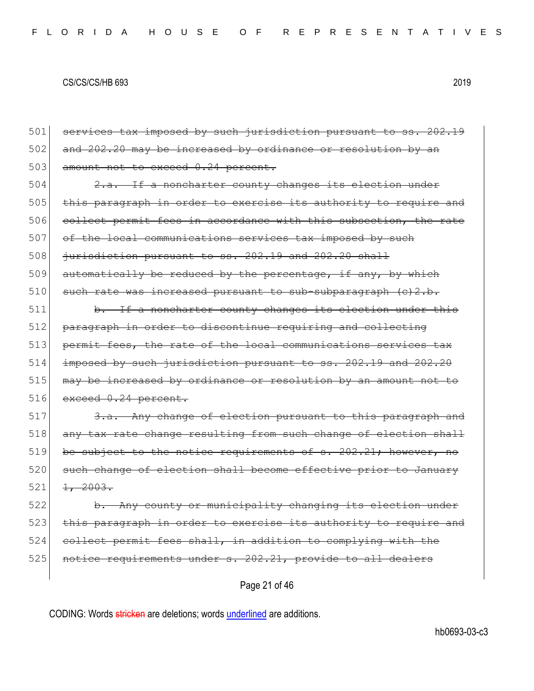Page 21 of 46 501 services tax imposed by such jurisdiction pursuant to ss. 202.19 502 and 202.20 may be increased by ordinance or resolution by an 503 amount not to exceed 0.24 percent. 504 2.a. If a noncharter county changes its election under 505 this paragraph in order to exercise its authority to require and 506 collect permit fees in accordance with this subsection, the rate 507 of the local communications services tax imposed by such  $508$  jurisdiction pursuant to ss. 202.19 and 202.20 shall 509 automatically be reduced by the percentage, if any, by which  $510$  such rate was increased pursuant to sub-subparagraph (c)2.b. 511 b. If a noncharter county changes its election under this 512 paragraph in order to discontinue requiring and collecting 513 permit fees, the rate of the local communications services tax 514 imposed by such jurisdiction pursuant to ss. 202.19 and 202.20 515 may be increased by ordinance or resolution by an amount not to 516 exceed 0.24 percent. 517 3.a. Any change of election pursuant to this paragraph and 518 any tax rate change resulting from such change of election shall  $519$  be subject to the notice requirements of s. 202.21; however, no 520 such change of election shall become effective prior to January  $521 \quad 1, \quad 2003.$ 522 b. Any county or municipality changing its election under 523 this paragraph in order to exercise its authority to require and 524 collect permit fees shall, in addition to complying with the 525 notice requirements under s. 202.21, provide to all dealers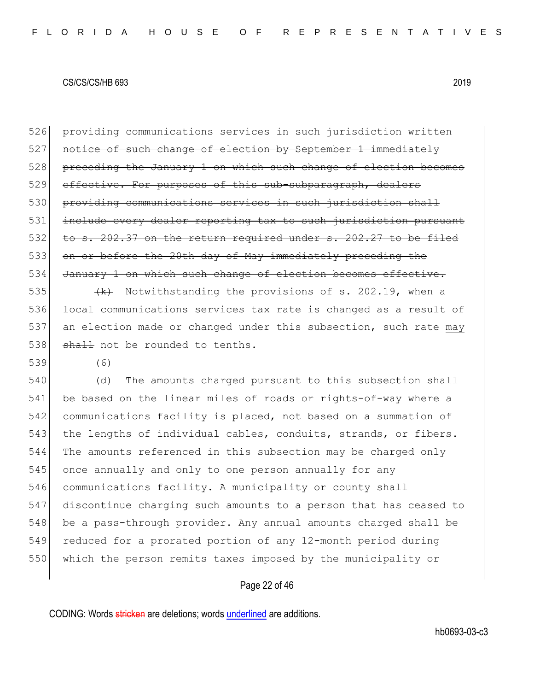526 providing communications services in such jurisdiction written 527 notice of such change of election by September 1 immediately 528 preceding the January 1 on which such change of election becomes 529 effective. For purposes of this sub-subparagraph, dealers 530 providing communications services in such jurisdiction shall 531 include every dealer reporting tax to such jurisdiction pursuant  $532$  to s. 202.37 on the return required under s. 202.27 to be filed 533 on or before the 20th day of May immediately preceding the 534 January 1 on which such change of election becomes effective. 535  $\left\{\left(k\right)$  Notwithstanding the provisions of s. 202.19, when a 536 local communications services tax rate is changed as a result of 537 an election made or changed under this subsection, such rate may 538 shall not be rounded to tenths.

539 (6)

 (d) The amounts charged pursuant to this subsection shall be based on the linear miles of roads or rights-of-way where a communications facility is placed, not based on a summation of 543 the lengths of individual cables, conduits, strands, or fibers. The amounts referenced in this subsection may be charged only once annually and only to one person annually for any communications facility. A municipality or county shall discontinue charging such amounts to a person that has ceased to 548 be a pass-through provider. Any annual amounts charged shall be reduced for a prorated portion of any 12-month period during which the person remits taxes imposed by the municipality or

# Page 22 of 46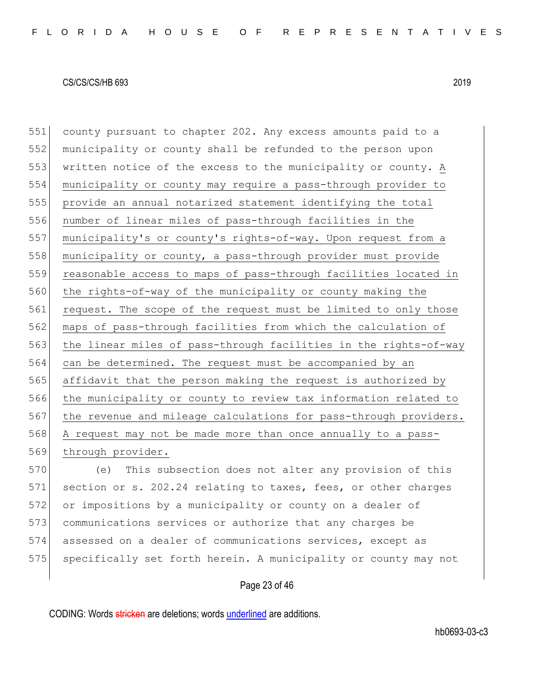county pursuant to chapter 202. Any excess amounts paid to a municipality or county shall be refunded to the person upon written notice of the excess to the municipality or county. A municipality or county may require a pass-through provider to provide an annual notarized statement identifying the total number of linear miles of pass-through facilities in the municipality's or county's rights-of-way. Upon request from a municipality or county, a pass-through provider must provide 559 reasonable access to maps of pass-through facilities located in 560 the rights-of-way of the municipality or county making the 561 request. The scope of the request must be limited to only those maps of pass-through facilities from which the calculation of 563 the linear miles of pass-through facilities in the rights-of-way can be determined. The request must be accompanied by an affidavit that the person making the request is authorized by the municipality or county to review tax information related to 567 the revenue and mileage calculations for pass-through providers. A request may not be made more than once annually to a pass-569 through provider.

 (e) This subsection does not alter any provision of this 571 section or s. 202.24 relating to taxes, fees, or other charges or impositions by a municipality or county on a dealer of communications services or authorize that any charges be assessed on a dealer of communications services, except as 575 specifically set forth herein. A municipality or county may not

### Page 23 of 46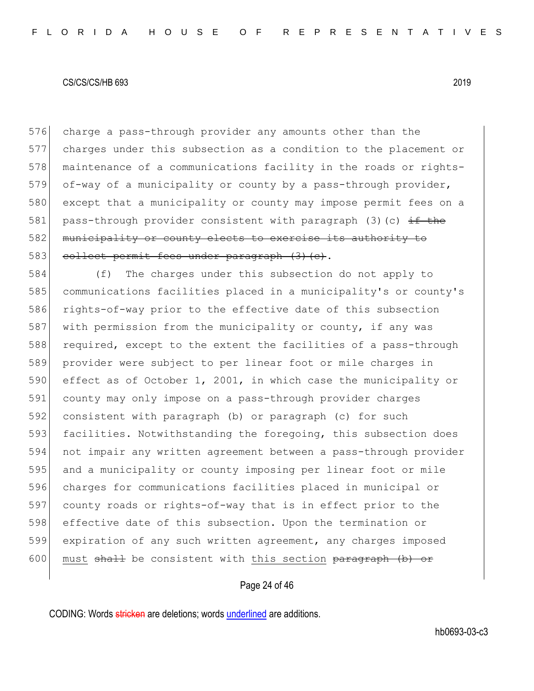576 charge a pass-through provider any amounts other than the 577 charges under this subsection as a condition to the placement or 578 maintenance of a communications facility in the roads or rights-579 of-way of a municipality or county by a pass-through provider, 580 except that a municipality or county may impose permit fees on a 581 pass-through provider consistent with paragraph (3)(c)  $\pm$ f the 582 municipality or county elects to exercise its authority to 583 collect permit fees under paragraph (3)(c).

584 (f) The charges under this subsection do not apply to 585 communications facilities placed in a municipality's or county's 586 rights-of-way prior to the effective date of this subsection 587 with permission from the municipality or county, if any was 588 required, except to the extent the facilities of a pass-through 589 provider were subject to per linear foot or mile charges in 590 effect as of October 1, 2001, in which case the municipality or 591 county may only impose on a pass-through provider charges 592 consistent with paragraph (b) or paragraph (c) for such 593 facilities. Notwithstanding the foregoing, this subsection does 594 not impair any written agreement between a pass-through provider 595 and a municipality or county imposing per linear foot or mile 596 charges for communications facilities placed in municipal or 597 county roads or rights-of-way that is in effect prior to the 598 effective date of this subsection. Upon the termination or 599 expiration of any such written agreement, any charges imposed 600 must  $shall$  be consistent with this section  $paragraph$  (b) or

# Page 24 of 46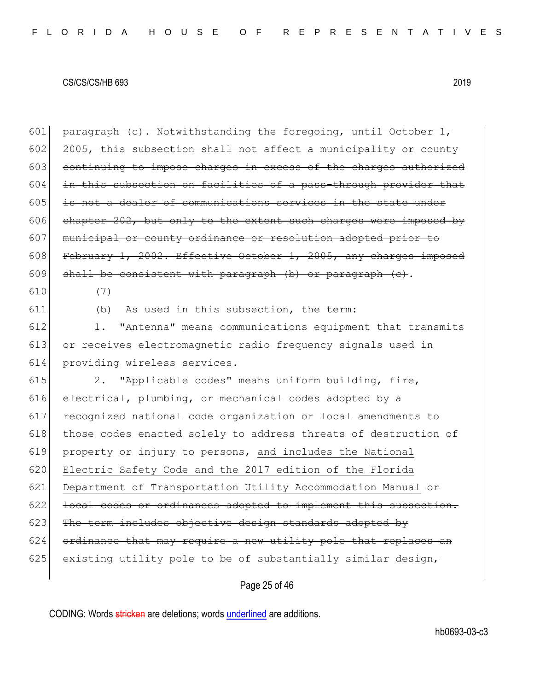601 paragraph  $(e)$ . Notwithstanding the foregoing, until October 1, 2005, this subsection shall not affect a municipality or county continuing to impose charges in excess of the charges authorized in this subsection on facilities of a pass-through provider that is not a dealer of communications services in the state under chapter 202, but only to the extent such charges were imposed by 607 municipal or county ordinance or resolution adopted prior to 608 February 1, 2002. Effective October 1, 2005, any charges imposed shall be consistent with paragraph (b) or paragraph (c). 610 (7) (b) As used in this subsection, the term: 1. "Antenna" means communications equipment that transmits 613 or receives electromagnetic radio frequency signals used in providing wireless services.

615 2. "Applicable codes" means uniform building, fire, 616 electrical, plumbing, or mechanical codes adopted by a 617 recognized national code organization or local amendments to 618 those codes enacted solely to address threats of destruction of 619 property or injury to persons, and includes the National 620 Electric Safety Code and the 2017 edition of the Florida 621 Department of Transportation Utility Accommodation Manual  $\theta$ 622 local codes or ordinances adopted to implement this subsection.  $623$  The term includes objective design standards adopted by  $624$  ordinance that may require a new utility pole that replaces an  $625$  existing utility pole to be of substantially similar design,

Page 25 of 46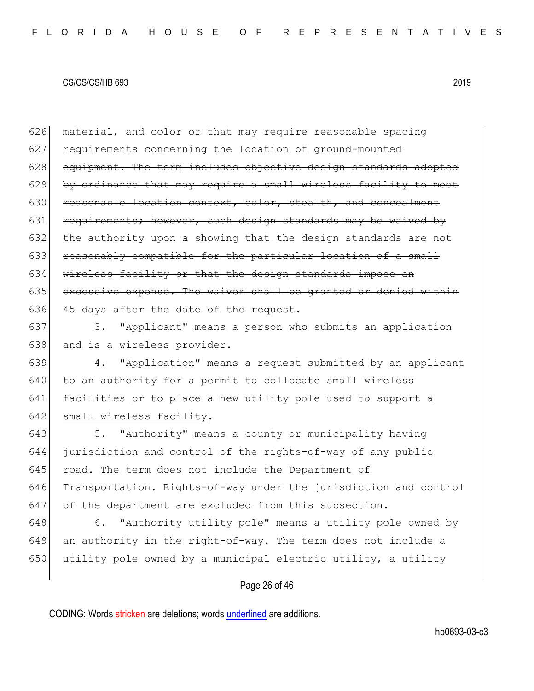$626$  material, and color or that may require reasonable spacing 627 requirements concerning the location of ground-mounted 628 equipment. The term includes objective design standards adopted 629 by ordinance that may require a small wireless facility to meet 630 reasonable location context, color, stealth, and concealment 631 requirements; however, such design standards may be waived by  $632$  the authority upon a showing that the design standards are not 633 reasonably compatible for the particular location of a small 634 wireless facility or that the design standards impose an 635 excessive expense. The waiver shall be granted or denied within 636  $\left|$  45 days after the date of the request.

637 3. "Applicant" means a person who submits an application 638 and is a wireless provider.

 4. "Application" means a request submitted by an applicant to an authority for a permit to collocate small wireless facilities or to place a new utility pole used to support a 642 small wireless facility.

643 5. "Authority" means a county or municipality having 644 jurisdiction and control of the rights-of-way of any public 645 road. The term does not include the Department of 646 Transportation. Rights-of-way under the jurisdiction and control 647 of the department are excluded from this subsection.

648 6. "Authority utility pole" means a utility pole owned by 649 an authority in the right-of-way. The term does not include a 650 utility pole owned by a municipal electric utility, a utility

# Page 26 of 46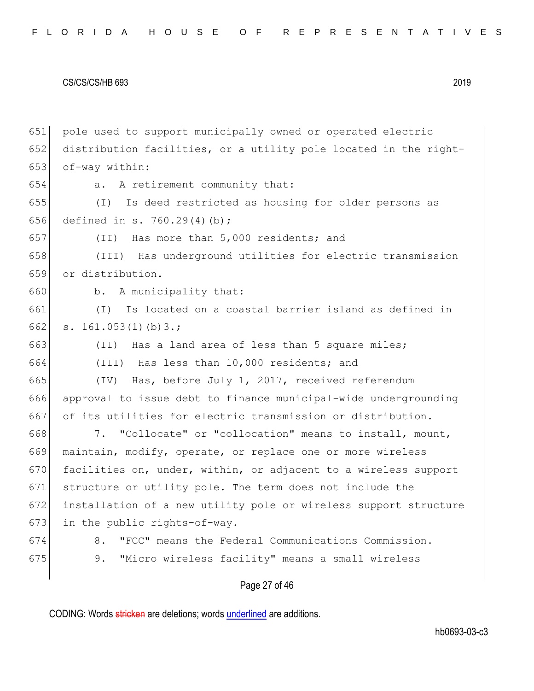pole used to support municipally owned or operated electric 652 distribution facilities, or a utility pole located in the right- of-way within: a. A retirement community that: (I) Is deed restricted as housing for older persons as defined in s. 760.29(4)(b); (II) Has more than 5,000 residents; and (III) Has underground utilities for electric transmission or distribution. b. A municipality that: (I) Is located on a coastal barrier island as defined in 662 s.  $161.053(1)(b)3.$ ; 663 (II) Has a land area of less than 5 square miles; (III) Has less than 10,000 residents; and (IV) Has, before July 1, 2017, received referendum approval to issue debt to finance municipal-wide undergrounding of its utilities for electric transmission or distribution. 7. "Collocate" or "collocation" means to install, mount, maintain, modify, operate, or replace one or more wireless 670 facilities on, under, within, or adjacent to a wireless support structure or utility pole. The term does not include the installation of a new utility pole or wireless support structure 673 in the public rights-of-way. 8. "FCC" means the Federal Communications Commission. 675 9. "Micro wireless facility" means a small wireless

# Page 27 of 46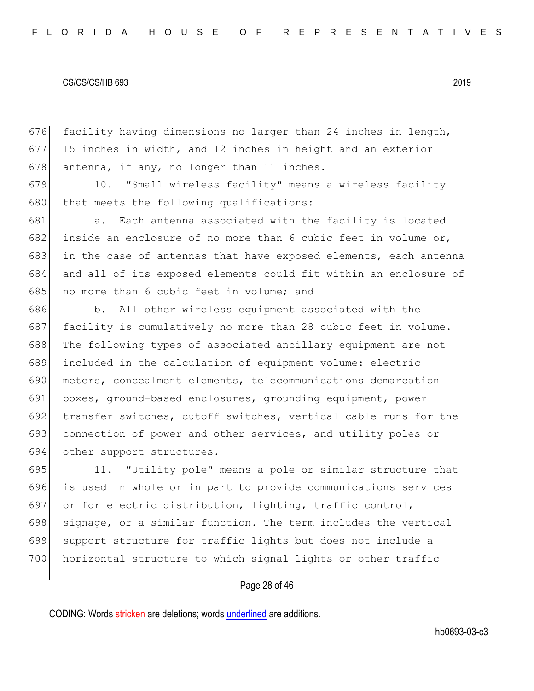676 facility having dimensions no larger than 24 inches in length, 677 15 inches in width, and 12 inches in height and an exterior 678 antenna, if any, no longer than 11 inches.

679 10. "Small wireless facility" means a wireless facility 680 that meets the following qualifications:

681 a. Each antenna associated with the facility is located 682 inside an enclosure of no more than 6 cubic feet in volume or, 683 in the case of antennas that have exposed elements, each antenna 684 and all of its exposed elements could fit within an enclosure of 685 no more than 6 cubic feet in volume; and

686 b. All other wireless equipment associated with the 687 facility is cumulatively no more than 28 cubic feet in volume. The following types of associated ancillary equipment are not included in the calculation of equipment volume: electric meters, concealment elements, telecommunications demarcation boxes, ground-based enclosures, grounding equipment, power transfer switches, cutoff switches, vertical cable runs for the 693 connection of power and other services, and utility poles or other support structures.

695 11. "Utility pole" means a pole or similar structure that 696 is used in whole or in part to provide communications services 697 or for electric distribution, lighting, traffic control, 698 signage, or a similar function. The term includes the vertical 699 support structure for traffic lights but does not include a 700 horizontal structure to which signal lights or other traffic

# Page 28 of 46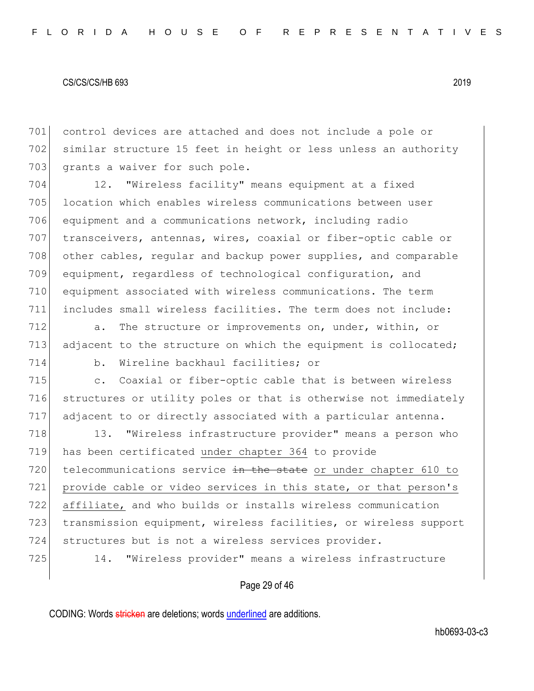701 control devices are attached and does not include a pole or 702 similar structure 15 feet in height or less unless an authority 703 grants a waiver for such pole.

 12. "Wireless facility" means equipment at a fixed location which enables wireless communications between user 706 equipment and a communications network, including radio transceivers, antennas, wires, coaxial or fiber-optic cable or 708 other cables, regular and backup power supplies, and comparable equipment, regardless of technological configuration, and equipment associated with wireless communications. The term includes small wireless facilities. The term does not include:

712 a. The structure or improvements on, under, within, or 713 adjacent to the structure on which the equipment is collocated;

714 b. Wireline backhaul facilities; or

715 c. Coaxial or fiber-optic cable that is between wireless 716 structures or utility poles or that is otherwise not immediately 717 adjacent to or directly associated with a particular antenna.

718 13. "Wireless infrastructure provider" means a person who 719 has been certificated under chapter 364 to provide 720 telecommunications service in the state or under chapter 610 to 721 provide cable or video services in this state, or that person's 722 affiliate, and who builds or installs wireless communication 723 transmission equipment, wireless facilities, or wireless support 724 structures but is not a wireless services provider.

725 14. "Wireless provider" means a wireless infrastructure

# Page 29 of 46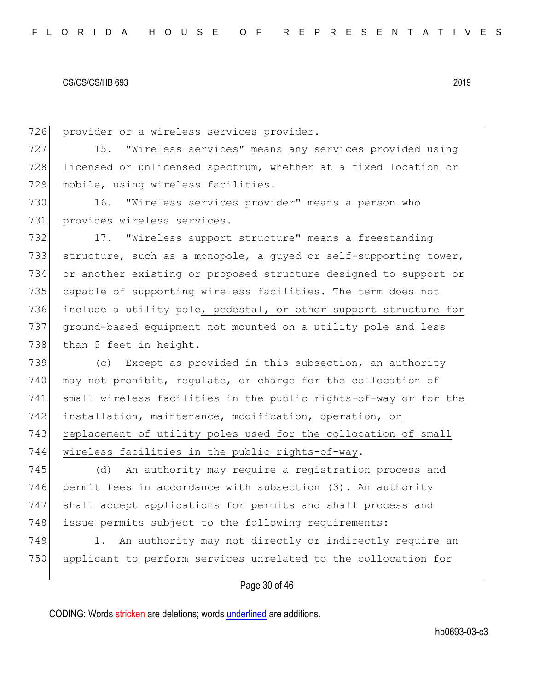726 provider or a wireless services provider.

727 15. "Wireless services" means any services provided using 728 licensed or unlicensed spectrum, whether at a fixed location or 729 mobile, using wireless facilities.

730 16. "Wireless services provider" means a person who 731 provides wireless services.

732 17. "Wireless support structure" means a freestanding 733 structure, such as a monopole, a quyed or self-supporting tower, 734 or another existing or proposed structure designed to support or 735 capable of supporting wireless facilities. The term does not 736 include a utility pole, pedestal, or other support structure for 737 ground-based equipment not mounted on a utility pole and less 738 than 5 feet in height.

 (c) Except as provided in this subsection, an authority 740 may not prohibit, requlate, or charge for the collocation of small wireless facilities in the public rights-of-way or for the installation, maintenance, modification, operation, or 743 replacement of utility poles used for the collocation of small wireless facilities in the public rights-of-way.

745 (d) An authority may require a registration process and 746 permit fees in accordance with subsection (3). An authority 747 shall accept applications for permits and shall process and 748 issue permits subject to the following requirements:

749 1. An authority may not directly or indirectly require an 750 applicant to perform services unrelated to the collocation for

### Page 30 of 46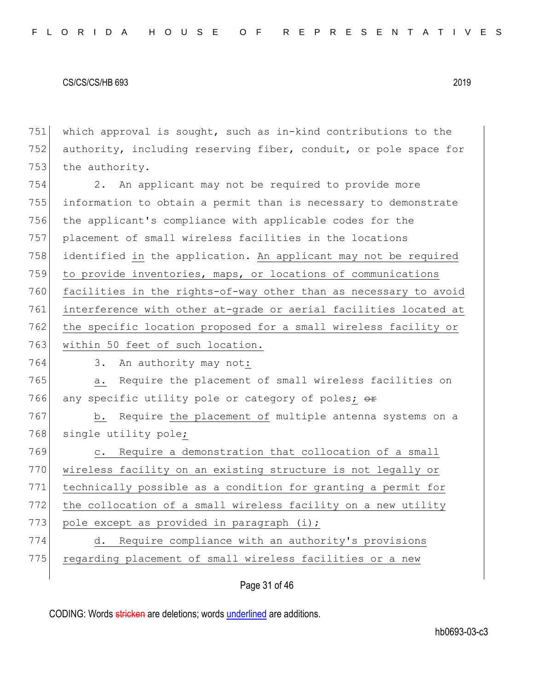751 which approval is sought, such as in-kind contributions to the 752 authority, including reserving fiber, conduit, or pole space for 753 the authority.

754 2. An applicant may not be required to provide more 755 information to obtain a permit than is necessary to demonstrate 756 the applicant's compliance with applicable codes for the 757 placement of small wireless facilities in the locations 758 identified in the application. An applicant may not be required 759 to provide inventories, maps, or locations of communications 760 facilities in the rights-of-way other than as necessary to avoid 761 interference with other at-grade or aerial facilities located at 762 the specific location proposed for a small wireless facility or 763 within 50 feet of such location.

764 3. An authority may not:

765 a. Require the placement of small wireless facilities on 766 any specific utility pole or category of poles;  $\theta$ 

767 b. Require the placement of multiple antenna systems on a 768 single utility pole;

769 c. Require a demonstration that collocation of a small 770 wireless facility on an existing structure is not legally or 771 technically possible as a condition for granting a permit for 772 the collocation of a small wireless facility on a new utility 773 pole except as provided in paragraph (i); 774 d. Require compliance with an authority's provisions

775 regarding placement of small wireless facilities or a new

Page 31 of 46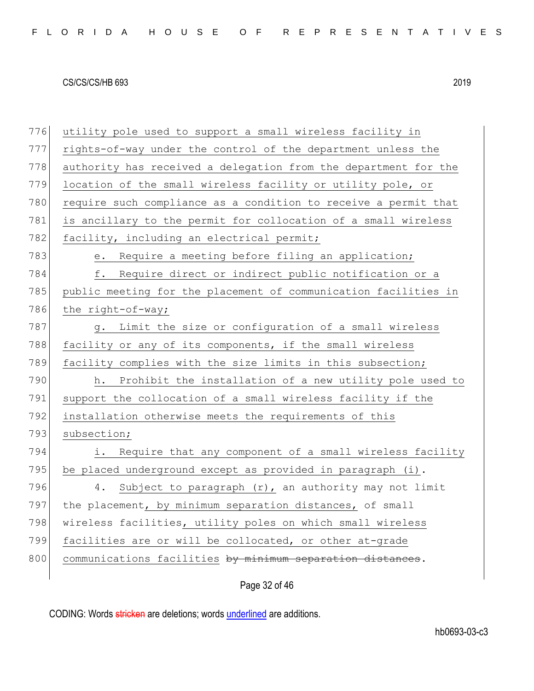776 utility pole used to support a small wireless facility in 777 rights-of-way under the control of the department unless the 778 authority has received a delegation from the department for the 779 location of the small wireless facility or utility pole, or 780 require such compliance as a condition to receive a permit that 781 is ancillary to the permit for collocation of a small wireless 782 facility, including an electrical permit; 783 e. Require a meeting before filing an application; 784 f. Require direct or indirect public notification or a 785 public meeting for the placement of communication facilities in 786 the right-of-way; 787 g. Limit the size or configuration of a small wireless 788 facility or any of its components, if the small wireless 789 facility complies with the size limits in this subsection; 790 h. Prohibit the installation of a new utility pole used to 791 support the collocation of a small wireless facility if the 792 installation otherwise meets the requirements of this 793 subsection; 794 i. Require that any component of a small wireless facility 795 be placed underground except as provided in paragraph  $(i)$ . 796 4. Subject to paragraph  $(r)$ , an authority may not limit 797 the placement, by minimum separation distances, of small 798 wireless facilities, utility poles on which small wireless 799 facilities are or will be collocated, or other at-grade 800 communications facilities by minimum separation distances.

Page 32 of 46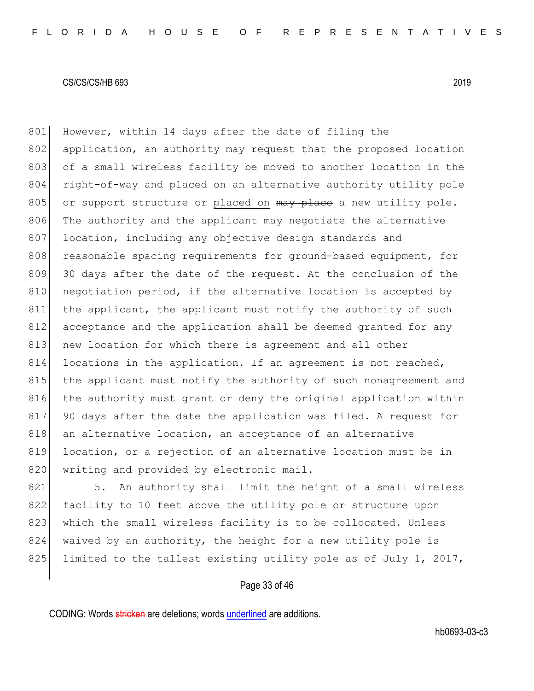801 However, within 14 days after the date of filing the 802 application, an authority may request that the proposed location 803 of a small wireless facility be moved to another location in the 804 right-of-way and placed on an alternative authority utility pole 805 or support structure or placed on  $\frac{m}{w}$  place a new utility pole. 806 The authority and the applicant may negotiate the alternative 807 location, including any objective design standards and 808 reasonable spacing requirements for ground-based equipment, for 809 30 days after the date of the request. At the conclusion of the 810 negotiation period, if the alternative location is accepted by 811 the applicant, the applicant must notify the authority of such 812 acceptance and the application shall be deemed granted for any 813 new location for which there is agreement and all other 814 locations in the application. If an agreement is not reached, 815 the applicant must notify the authority of such nonagreement and 816 the authority must grant or deny the original application within 817 90 days after the date the application was filed. A request for 818 an alternative location, an acceptance of an alternative 819 location, or a rejection of an alternative location must be in 820 writing and provided by electronic mail.

821 5. An authority shall limit the height of a small wireless 822 facility to 10 feet above the utility pole or structure upon 823 which the small wireless facility is to be collocated. Unless 824 waived by an authority, the height for a new utility pole is 825 limited to the tallest existing utility pole as of July 1, 2017,

# Page 33 of 46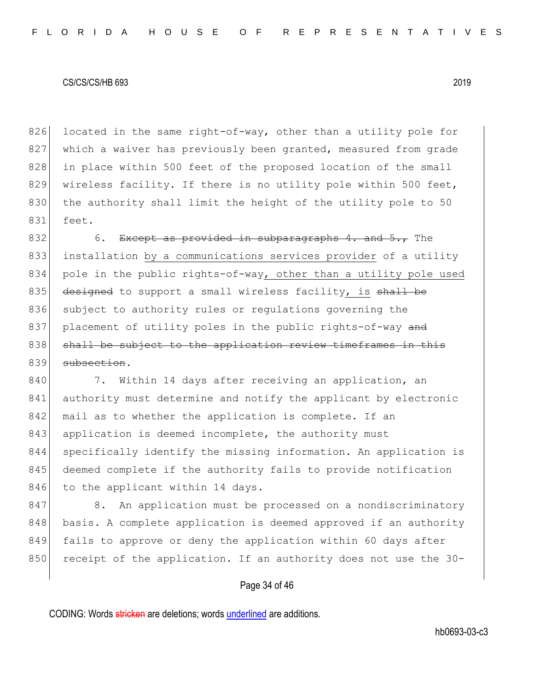826 located in the same right-of-way, other than a utility pole for 827 which a waiver has previously been granted, measured from grade 828 in place within 500 feet of the proposed location of the small 829 wireless facility. If there is no utility pole within 500 feet, 830 the authority shall limit the height of the utility pole to 50 831 feet.

832 6. Except as provided in subparagraphs 4. and  $5.7$  The 833 installation by a communications services provider of a utility 834 pole in the public rights-of-way, other than a utility pole used 835 designed to support a small wireless facility, is shall be 836 subject to authority rules or regulations governing the 837 placement of utility poles in the public rights-of-way and 838 shall be subject to the application review timeframes in this 839 subsection.

840 7. Within 14 days after receiving an application, an 841 authority must determine and notify the applicant by electronic 842 mail as to whether the application is complete. If an 843 application is deemed incomplete, the authority must 844 specifically identify the missing information. An application is 845 deemed complete if the authority fails to provide notification 846 to the applicant within 14 days.

847 8. An application must be processed on a nondiscriminatory 848 basis. A complete application is deemed approved if an authority 849 fails to approve or deny the application within 60 days after 850 receipt of the application. If an authority does not use the 30-

# Page 34 of 46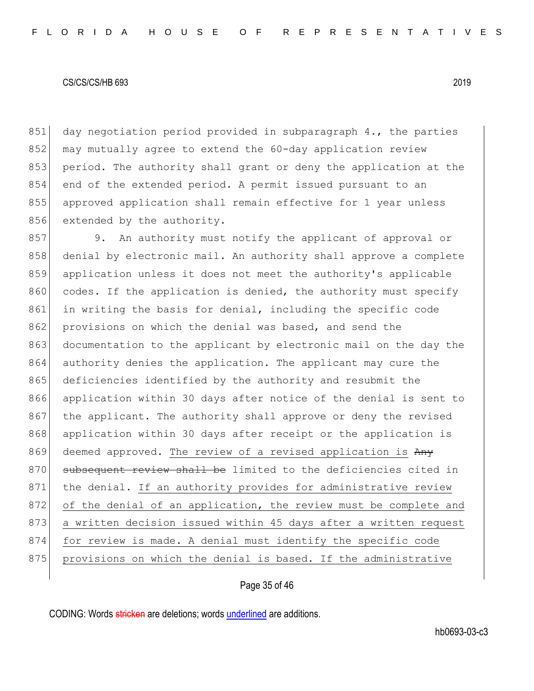851 day negotiation period provided in subparagraph 4., the parties 852 may mutually agree to extend the 60-day application review 853 period. The authority shall grant or deny the application at the 854 end of the extended period. A permit issued pursuant to an 855 approved application shall remain effective for 1 year unless 856 extended by the authority.

857 9. An authority must notify the applicant of approval or 858 denial by electronic mail. An authority shall approve a complete 859 application unless it does not meet the authority's applicable 860 codes. If the application is denied, the authority must specify 861 in writing the basis for denial, including the specific code 862 provisions on which the denial was based, and send the 863 documentation to the applicant by electronic mail on the day the 864 authority denies the application. The applicant may cure the 865 deficiencies identified by the authority and resubmit the 866 application within 30 days after notice of the denial is sent to 867 the applicant. The authority shall approve or deny the revised 868 application within 30 days after receipt or the application is 869 deemed approved. The review of a revised application is Any 870 subsequent review shall be limited to the deficiencies cited in 871 the denial. If an authority provides for administrative review 872 of the denial of an application, the review must be complete and 873 a written decision issued within 45 days after a written request 874 for review is made. A denial must identify the specific code 875 provisions on which the denial is based. If the administrative

# Page 35 of 46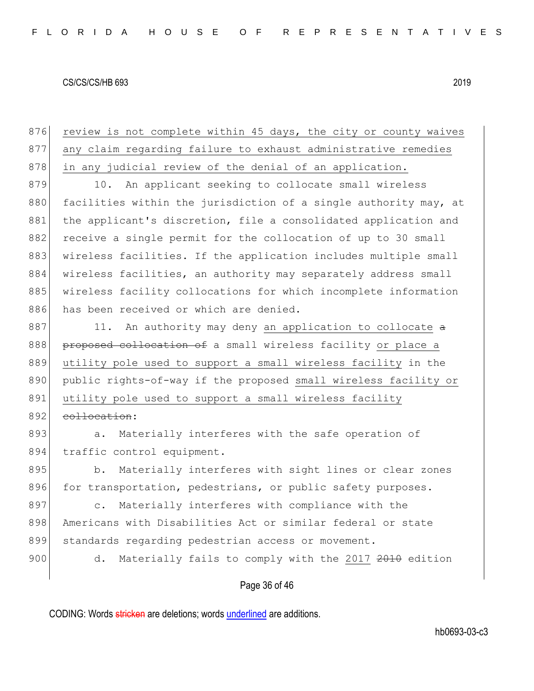876 review is not complete within 45 days, the city or county waives 877 any claim regarding failure to exhaust administrative remedies 878 in any judicial review of the denial of an application. 879 10. An applicant seeking to collocate small wireless 880 facilities within the jurisdiction of a single authority may, at 881 | the applicant's discretion, file a consolidated application and 882 receive a single permit for the collocation of up to 30 small 883 wireless facilities. If the application includes multiple small

884 wireless facilities, an authority may separately address small 885 wireless facility collocations for which incomplete information 886 has been received or which are denied.

 $887$  11. An authority may deny an application to collocate  $\alpha$ 888 proposed collocation of a small wireless facility or place a 889 utility pole used to support a small wireless facility in the 890 public rights-of-way if the proposed small wireless facility or 891 utility pole used to support a small wireless facility 892 collocation:

893 a. Materially interferes with the safe operation of 894 traffic control equipment.

895 b. Materially interferes with sight lines or clear zones 896 for transportation, pedestrians, or public safety purposes.

897 c. Materially interferes with compliance with the 898 Americans with Disabilities Act or similar federal or state 899 standards regarding pedestrian access or movement.

900 d. Materially fails to comply with the 2017 2010 edition

Page 36 of 46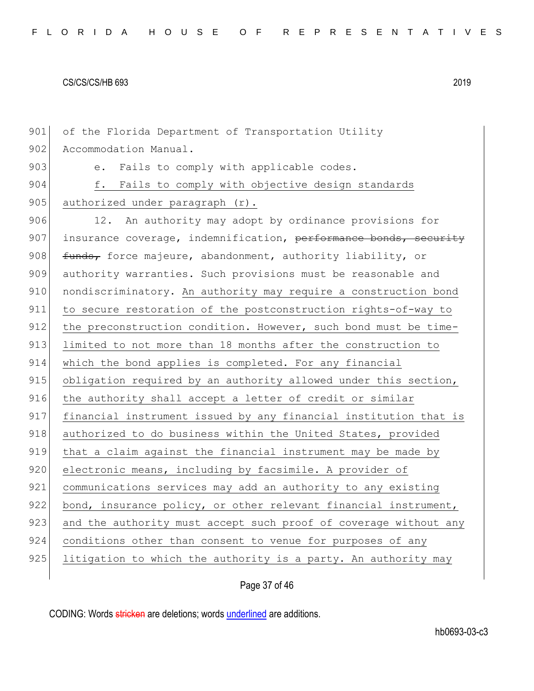901 of the Florida Department of Transportation Utility 902 Accommodation Manual. 903 e. Fails to comply with applicable codes. 904 f. Fails to comply with objective design standards 905 authorized under paragraph  $(r)$ . 906 12. An authority may adopt by ordinance provisions for 907 insurance coverage, indemnification,  $\frac{\text{performation}}{\text{performation}}$ , security 908 funds, force majeure, abandonment, authority liability, or 909 authority warranties. Such provisions must be reasonable and 910 nondiscriminatory. An authority may require a construction bond 911 to secure restoration of the postconstruction rights-of-way to 912 the preconstruction condition. However, such bond must be time-913 limited to not more than 18 months after the construction to 914 which the bond applies is completed. For any financial 915 obligation required by an authority allowed under this section, 916 the authority shall accept a letter of credit or similar 917 financial instrument issued by any financial institution that is 918 authorized to do business within the United States, provided 919 that a claim against the financial instrument may be made by 920 electronic means, including by facsimile. A provider of 921 communications services may add an authority to any existing 922 bond, insurance policy, or other relevant financial instrument, 923 and the authority must accept such proof of coverage without any 924 conditions other than consent to venue for purposes of any 925 litigation to which the authority is a party. An authority may

# Page 37 of 46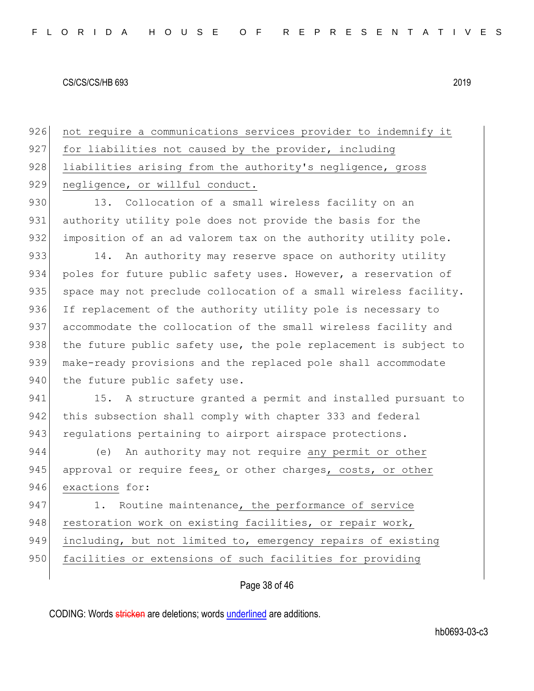926 not require a communications services provider to indemnify it 927 for liabilities not caused by the provider, including 928 liabilities arising from the authority's negligence, gross 929 negligence, or willful conduct. 930 13. Collocation of a small wireless facility on an

931 authority utility pole does not provide the basis for the 932 imposition of an ad valorem tax on the authority utility pole.

933 14. An authority may reserve space on authority utility 934 poles for future public safety uses. However, a reservation of 935 space may not preclude collocation of a small wireless facility. 936 If replacement of the authority utility pole is necessary to 937 accommodate the collocation of the small wireless facility and 938 the future public safety use, the pole replacement is subject to 939 make-ready provisions and the replaced pole shall accommodate 940 the future public safety use.

941 15. A structure granted a permit and installed pursuant to 942 this subsection shall comply with chapter 333 and federal 943 regulations pertaining to airport airspace protections.

944 (e) An authority may not require any permit or other 945 approval or require fees, or other charges, costs, or other 946 exactions for:

947 1. Routine maintenance, the performance of service 948 restoration work on existing facilities, or repair work, 949 including, but not limited to, emergency repairs of existing 950 facilities or extensions of such facilities for providing

# Page 38 of 46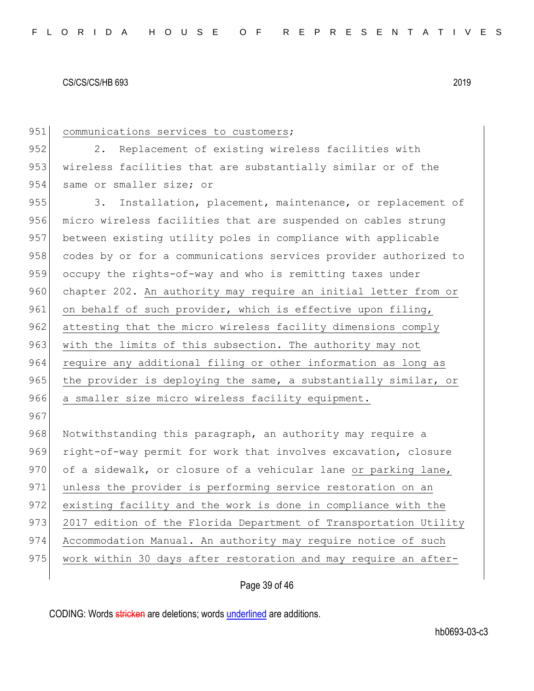| 951 | communications services to customers;                            |
|-----|------------------------------------------------------------------|
| 952 | Replacement of existing wireless facilities with<br>2.           |
| 953 | wireless facilities that are substantially similar or of the     |
| 954 | same or smaller size; or                                         |
| 955 | Installation, placement, maintenance, or replacement of<br>3.    |
| 956 | micro wireless facilities that are suspended on cables strung    |
| 957 | between existing utility poles in compliance with applicable     |
| 958 | codes by or for a communications services provider authorized to |
| 959 | occupy the rights-of-way and who is remitting taxes under        |
| 960 | chapter 202. An authority may require an initial letter from or  |
| 961 | on behalf of such provider, which is effective upon filing,      |
| 962 | attesting that the micro wireless facility dimensions comply     |
| 963 | with the limits of this subsection. The authority may not        |
| 964 | require any additional filing or other information as long as    |
| 965 | the provider is deploying the same, a substantially similar, or  |
| 966 | a smaller size micro wireless facility equipment.                |
| 967 |                                                                  |
| 968 | Notwithstanding this paragraph, an authority may require a       |
| 969 | right-of-way permit for work that involves excavation, closure   |
| 970 | of a sidewalk, or closure of a vehicular lane or parking lane,   |
| 971 | unless the provider is performing service restoration on an      |
| 972 | existing facility and the work is done in compliance with the    |
| 973 | 2017 edition of the Florida Department of Transportation Utility |
| 974 | Accommodation Manual. An authority may require notice of such    |
| 975 | work within 30 days after restoration and may require an after-  |
|     |                                                                  |

# Page 39 of 46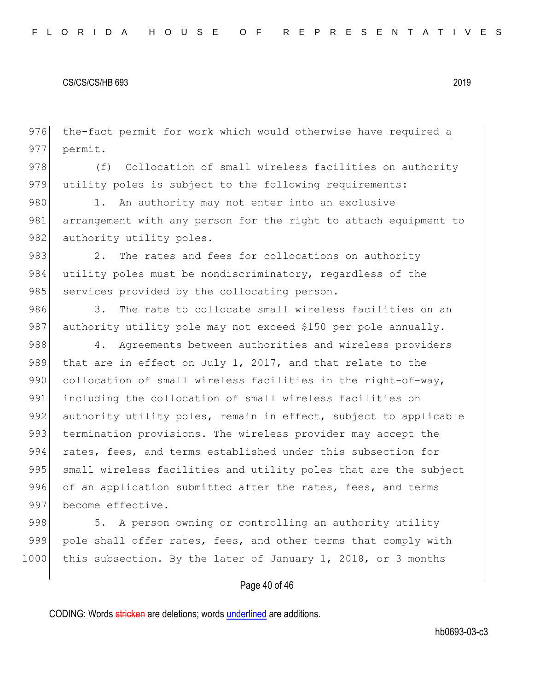976 the-fact permit for work which would otherwise have required a 977 permit.

978 (f) Collocation of small wireless facilities on authority 979 utility poles is subject to the following requirements:

980 1. An authority may not enter into an exclusive 981 arrangement with any person for the right to attach equipment to 982 authority utility poles.

983 2. The rates and fees for collocations on authority 984 utility poles must be nondiscriminatory, regardless of the 985 services provided by the collocating person.

986 3. The rate to collocate small wireless facilities on an 987 authority utility pole may not exceed \$150 per pole annually.

988 4. Agreements between authorities and wireless providers 989 that are in effect on July 1, 2017, and that relate to the 990 collocation of small wireless facilities in the right-of-way, 991 including the collocation of small wireless facilities on 992 authority utility poles, remain in effect, subject to applicable 993 termination provisions. The wireless provider may accept the 994 rates, fees, and terms established under this subsection for 995 small wireless facilities and utility poles that are the subject 996 of an application submitted after the rates, fees, and terms 997 become effective.

998 5. A person owning or controlling an authority utility 999 pole shall offer rates, fees, and other terms that comply with 1000 this subsection. By the later of January 1, 2018, or 3 months

# Page 40 of 46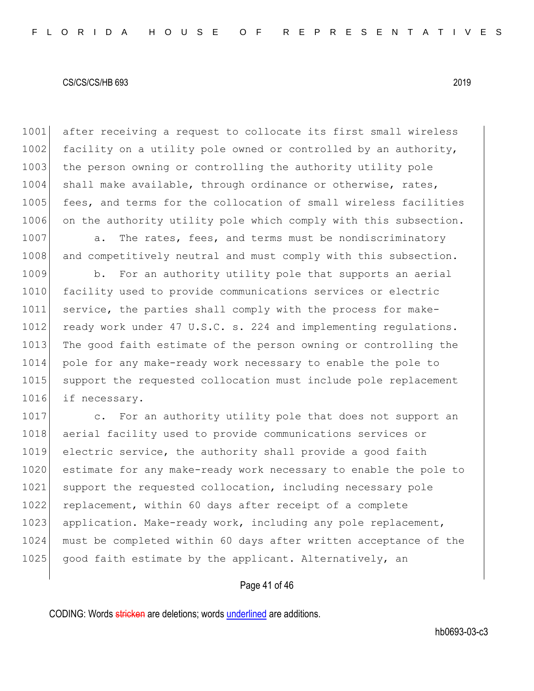1001 after receiving a request to collocate its first small wireless 1002 facility on a utility pole owned or controlled by an authority, 1003 the person owning or controlling the authority utility pole 1004 shall make available, through ordinance or otherwise, rates, 1005 fees, and terms for the collocation of small wireless facilities 1006 on the authority utility pole which comply with this subsection.

1007 a. The rates, fees, and terms must be nondiscriminatory 1008 and competitively neutral and must comply with this subsection.

1009 b. For an authority utility pole that supports an aerial 1010 facility used to provide communications services or electric 1011 service, the parties shall comply with the process for make-1012 ready work under 47 U.S.C. s. 224 and implementing regulations. 1013 The good faith estimate of the person owning or controlling the 1014 pole for any make-ready work necessary to enable the pole to 1015 support the requested collocation must include pole replacement 1016 if necessary.

1017 c. For an authority utility pole that does not support an 1018 aerial facility used to provide communications services or 1019 electric service, the authority shall provide a good faith 1020 estimate for any make-ready work necessary to enable the pole to 1021 support the requested collocation, including necessary pole 1022 replacement, within 60 days after receipt of a complete 1023 application. Make-ready work, including any pole replacement, 1024 must be completed within 60 days after written acceptance of the 1025 good faith estimate by the applicant. Alternatively, an

# Page 41 of 46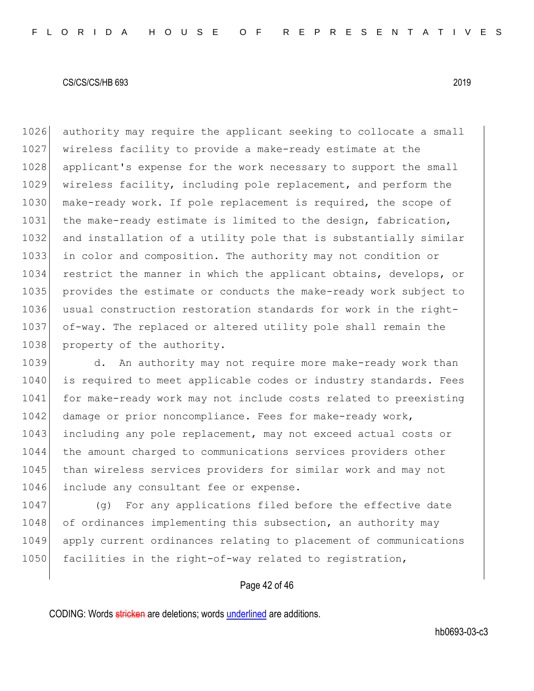authority may require the applicant seeking to collocate a small wireless facility to provide a make-ready estimate at the 1028 applicant's expense for the work necessary to support the small wireless facility, including pole replacement, and perform the 1030 make-ready work. If pole replacement is required, the scope of 1031 the make-ready estimate is limited to the design, fabrication, and installation of a utility pole that is substantially similar in color and composition. The authority may not condition or restrict the manner in which the applicant obtains, develops, or provides the estimate or conducts the make-ready work subject to usual construction restoration standards for work in the right- of-way. The replaced or altered utility pole shall remain the 1038 property of the authority.

1039 d. An authority may not require more make-ready work than 1040 is required to meet applicable codes or industry standards. Fees 1041 for make-ready work may not include costs related to preexisting 1042 damage or prior noncompliance. Fees for make-ready work, 1043 including any pole replacement, may not exceed actual costs or 1044 the amount charged to communications services providers other 1045 than wireless services providers for similar work and may not 1046 include any consultant fee or expense.

1047 (g) For any applications filed before the effective date 1048 of ordinances implementing this subsection, an authority may 1049 apply current ordinances relating to placement of communications 1050 facilities in the right-of-way related to registration,

### Page 42 of 46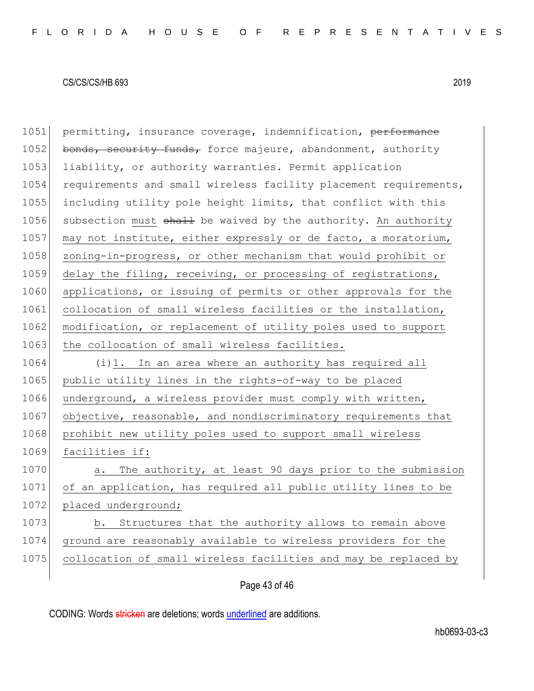1051 permitting, insurance coverage, indemnification, performance 1052 bonds, security funds, force majeure, abandonment, authority 1053 liability, or authority warranties. Permit application 1054 requirements and small wireless facility placement requirements, 1055 including utility pole height limits, that conflict with this 1056 subsection must shall be waived by the authority. An authority 1057 may not institute, either expressly or de facto, a moratorium, 1058 zoning-in-progress, or other mechanism that would prohibit or 1059 delay the filing, receiving, or processing of registrations, 1060 applications, or issuing of permits or other approvals for the 1061 collocation of small wireless facilities or the installation, 1062 modification, or replacement of utility poles used to support 1063 the collocation of small wireless facilities. 1064 (i)1. In an area where an authority has required all 1065 public utility lines in the rights-of-way to be placed 1066 underground, a wireless provider must comply with written, 1067 objective, reasonable, and nondiscriminatory requirements that 1068 prohibit new utility poles used to support small wireless 1069 facilities if: 1070 a. The authority, at least 90 days prior to the submission 1071 of an application, has required all public utility lines to be 1072 placed underground; 1073 b. Structures that the authority allows to remain above 1074 ground are reasonably available to wireless providers for the 1075 collocation of small wireless facilities and may be replaced by

Page 43 of 46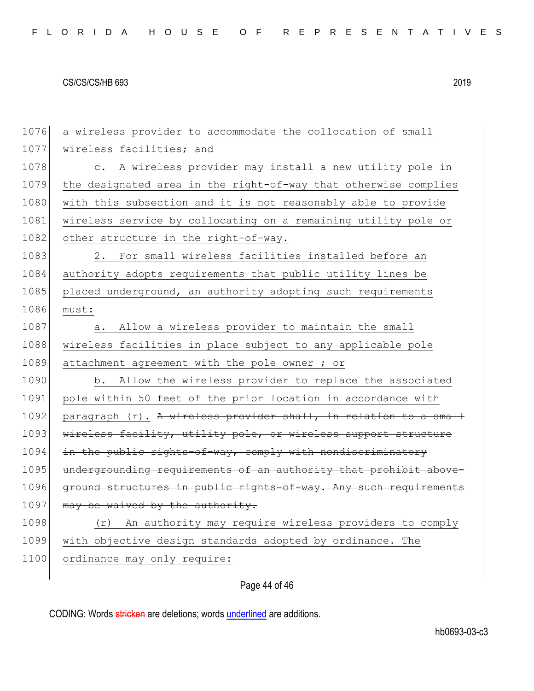1076 a wireless provider to accommodate the collocation of small 1077 wireless facilities; and 1078 c. A wireless provider may install a new utility pole in 1079 the designated area in the right-of-way that otherwise complies 1080 with this subsection and it is not reasonably able to provide 1081 wireless service by collocating on a remaining utility pole or 1082 other structure in the right-of-way. 1083 2. For small wireless facilities installed before an 1084 authority adopts requirements that public utility lines be 1085 placed underground, an authority adopting such requirements 1086 must: 1087 a. Allow a wireless provider to maintain the small 1088 wireless facilities in place subject to any applicable pole 1089 attachment agreement with the pole owner ; or 1090 b. Allow the wireless provider to replace the associated 1091 pole within 50 feet of the prior location in accordance with 1092 paragraph  $(r)$ . A wireless provider shall, in relation to a small 1093 wireless facility, utility pole, or wireless support structure 1094 in the public rights-of-way, comply with nondiscriminatory 1095 undergrounding requirements of an authority that prohibit above-1096 ground structures in public rights-of-way. Any such requirements 1097 may be waived by the authority. 1098 (r) An authority may require wireless providers to comply 1099 with objective design standards adopted by ordinance. The 1100 ordinance may only require:

Page 44 of 46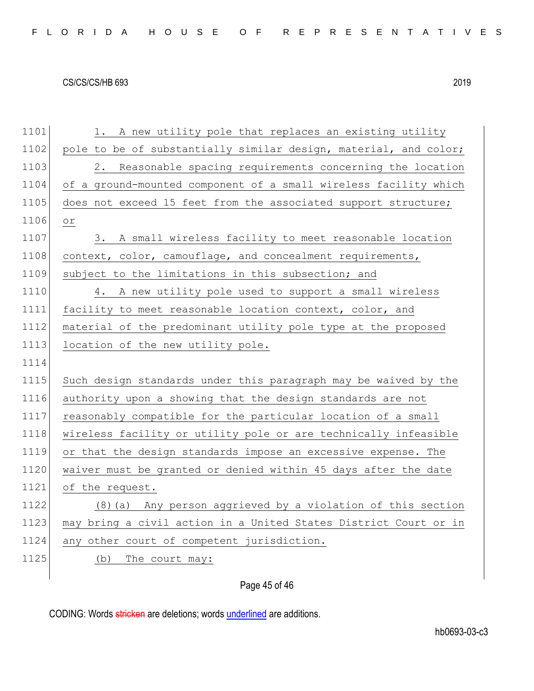| 1101 | 1. A new utility pole that replaces an existing utility          |
|------|------------------------------------------------------------------|
| 1102 | pole to be of substantially similar design, material, and color; |
| 1103 | 2. Reasonable spacing requirements concerning the location       |
| 1104 | of a ground-mounted component of a small wireless facility which |
| 1105 | does not exceed 15 feet from the associated support structure;   |
| 1106 | $\circ$ r                                                        |
| 1107 | 3. A small wireless facility to meet reasonable location         |
| 1108 | context, color, camouflage, and concealment requirements,        |
| 1109 | subject to the limitations in this subsection; and               |
| 1110 | 4. A new utility pole used to support a small wireless           |
| 1111 | facility to meet reasonable location context, color, and         |
| 1112 | material of the predominant utility pole type at the proposed    |
| 1113 | location of the new utility pole.                                |
| 1114 |                                                                  |
| 1115 | Such design standards under this paragraph may be waived by the  |
| 1116 | authority upon a showing that the design standards are not       |
| 1117 | reasonably compatible for the particular location of a small     |
| 1118 | wireless facility or utility pole or are technically infeasible  |
| 1119 | or that the design standards impose an excessive expense. The    |
| 1120 | waiver must be granted or denied within 45 days after the date   |
| 1121 | of the request.                                                  |
| 1122 | (8) (a) Any person aggrieved by a violation of this section      |
| 1123 | may bring a civil action in a United States District Court or in |
| 1124 | any other court of competent jurisdiction.                       |
| 1125 | The court may:<br>(b)                                            |
|      |                                                                  |

# Page 45 of 46